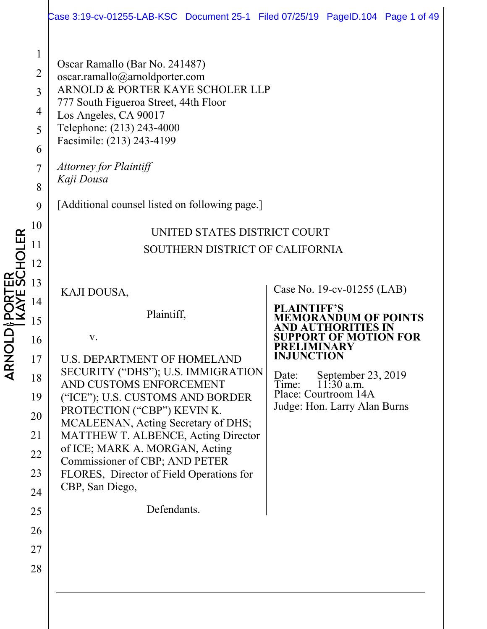|                                                                               | Case 3:19-cv-01255-LAB-KSC Document 25-1 Filed 07/25/19 PageID.104 Page 1 of 49                                                                                                                                                                                                                                                                                                                      |                   |                                                      |  |
|-------------------------------------------------------------------------------|------------------------------------------------------------------------------------------------------------------------------------------------------------------------------------------------------------------------------------------------------------------------------------------------------------------------------------------------------------------------------------------------------|-------------------|------------------------------------------------------|--|
| $\mathbf{1}$<br>$\overline{2}$<br>3<br>4<br>5<br>6<br>7<br>8<br>9<br>10<br>11 | Oscar Ramallo (Bar No. 241487)<br>oscar.ramallo@arnoldporter.com<br>ARNOLD & PORTER KAYE SCHOLER LLP<br>777 South Figueroa Street, 44th Floor<br>Los Angeles, CA 90017<br>Telephone: (213) 243-4000<br>Facsimile: (213) 243-4199<br><b>Attorney for Plaintiff</b><br>Kaji Dousa<br>[Additional counsel listed on following page.]<br>UNITED STATES DISTRICT COURT<br>SOUTHERN DISTRICT OF CALIFORNIA |                   |                                                      |  |
| 12                                                                            |                                                                                                                                                                                                                                                                                                                                                                                                      |                   |                                                      |  |
| 13                                                                            | KAJI DOUSA,                                                                                                                                                                                                                                                                                                                                                                                          |                   | Case No. 19-cv-01255 (LAB)                           |  |
| 14<br>15                                                                      | Plaintiff,                                                                                                                                                                                                                                                                                                                                                                                           | PLAINTIFF'S       | <b><i>AORANDUM OF POINTS</i></b>                     |  |
| 16                                                                            | V.                                                                                                                                                                                                                                                                                                                                                                                                   |                   | RT OF MOTION FOR                                     |  |
| 17                                                                            | <b>U.S. DEPARTMENT OF HOMELAND</b>                                                                                                                                                                                                                                                                                                                                                                   | <b>INJUNCTION</b> |                                                      |  |
| 18                                                                            | SECURITY ("DHS"); U.S. IMMIGRATION<br>AND CUSTOMS ENFORCEMENT                                                                                                                                                                                                                                                                                                                                        | Date:<br>Time:    | September 23, 2019<br>11:30 a.m.                     |  |
| 19                                                                            | ("ICE"); U.S. CUSTOMS AND BORDER<br>PROTECTION ("CBP") KEVIN K.                                                                                                                                                                                                                                                                                                                                      |                   | Place: Courtroom 14A<br>Judge: Hon. Larry Alan Burns |  |
| 20<br>21                                                                      | MCALEENAN, Acting Secretary of DHS;<br><b>MATTHEW T. ALBENCE, Acting Director</b>                                                                                                                                                                                                                                                                                                                    |                   |                                                      |  |
| 22                                                                            | of ICE; MARK A. MORGAN, Acting                                                                                                                                                                                                                                                                                                                                                                       |                   |                                                      |  |
| 23                                                                            | Commissioner of CBP; AND PETER<br>FLORES, Director of Field Operations for                                                                                                                                                                                                                                                                                                                           |                   |                                                      |  |
| 24                                                                            | CBP, San Diego,                                                                                                                                                                                                                                                                                                                                                                                      |                   |                                                      |  |
| 25                                                                            | Defendants.                                                                                                                                                                                                                                                                                                                                                                                          |                   |                                                      |  |
| 26                                                                            |                                                                                                                                                                                                                                                                                                                                                                                                      |                   |                                                      |  |
| 27                                                                            |                                                                                                                                                                                                                                                                                                                                                                                                      |                   |                                                      |  |
| 28                                                                            |                                                                                                                                                                                                                                                                                                                                                                                                      |                   |                                                      |  |
|                                                                               |                                                                                                                                                                                                                                                                                                                                                                                                      |                   |                                                      |  |
|                                                                               |                                                                                                                                                                                                                                                                                                                                                                                                      |                   |                                                      |  |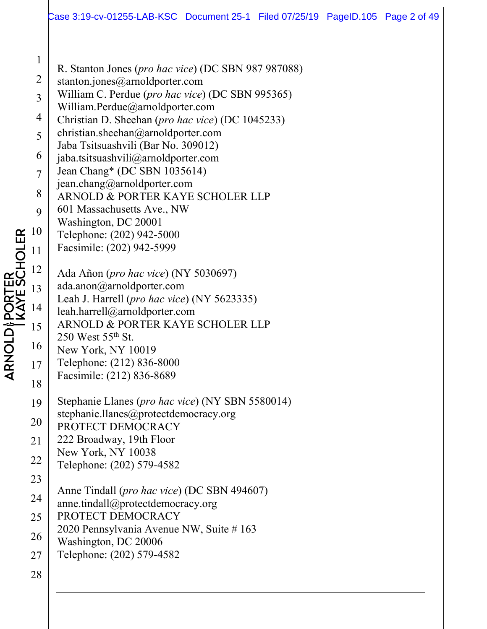|                | Case 3:19-cv-01255-LAB-KSC Document 25-1 Filed 07/25/19 PageID.105 Page 2 of 49           |  |  |  |
|----------------|-------------------------------------------------------------------------------------------|--|--|--|
|                |                                                                                           |  |  |  |
| $\mathbf{1}$   | R. Stanton Jones (pro hac vice) (DC SBN 987 987088)                                       |  |  |  |
| $\overline{2}$ | stanton.jones@arnoldporter.com                                                            |  |  |  |
| 3              | William C. Perdue (pro hac vice) (DC SBN 995365)<br>William.Perdue@arnoldporter.com       |  |  |  |
| 4              | Christian D. Sheehan (pro hac vice) (DC 1045233)                                          |  |  |  |
| 5              | christian.sheehan@arnoldporter.com                                                        |  |  |  |
| 6              | Jaba Tsitsuashvili (Bar No. 309012)<br>jaba.tsitsuashvili@arnoldporter.com                |  |  |  |
| $\overline{7}$ | Jean Chang* (DC SBN 1035614)                                                              |  |  |  |
| 8              | jean.chang@arnoldporter.com                                                               |  |  |  |
|                | ARNOLD & PORTER KAYE SCHOLER LLP<br>601 Massachusetts Ave., NW                            |  |  |  |
| 9              | Washington, DC 20001                                                                      |  |  |  |
| 10             | Telephone: (202) 942-5000                                                                 |  |  |  |
| 11             | Facsimile: (202) 942-5999                                                                 |  |  |  |
| 12             | Ada Añon (pro hac vice) (NY 5030697)                                                      |  |  |  |
| 13             | ada.anon@arnoldporter.com                                                                 |  |  |  |
| 14             | Leah J. Harrell (pro hac vice) (NY 5623335)<br>leah.harrell@arnoldporter.com              |  |  |  |
| 15             | ARNOLD & PORTER KAYE SCHOLER LLP                                                          |  |  |  |
| 16             | $250$ West $55th$ St.                                                                     |  |  |  |
|                | New York, NY 10019<br>Telephone: (212) 836-8000                                           |  |  |  |
| 17             | Facsimile: (212) 836-8689                                                                 |  |  |  |
| 18             |                                                                                           |  |  |  |
| 19             | Stephanie Llanes (pro hac vice) (NY SBN 5580014)<br>stephanie.llanes@protectdemocracy.org |  |  |  |
| 20             | PROTECT DEMOCRACY                                                                         |  |  |  |
| 21             | 222 Broadway, 19th Floor                                                                  |  |  |  |
| 22             | New York, NY 10038<br>Telephone: (202) 579-4582                                           |  |  |  |
| 23             |                                                                                           |  |  |  |
| 24             | Anne Tindall (pro hac vice) (DC SBN 494607)                                               |  |  |  |
| 25             | anne.tindall@protectdemocracy.org<br>PROTECT DEMOCRACY                                    |  |  |  |
| 26             | 2020 Pennsylvania Avenue NW, Suite # 163                                                  |  |  |  |
|                | Washington, DC 20006                                                                      |  |  |  |
| 27             | Telephone: (202) 579-4582                                                                 |  |  |  |
| 28             |                                                                                           |  |  |  |

 $\begin{array}{c} 16 \\ 1 \end{array}$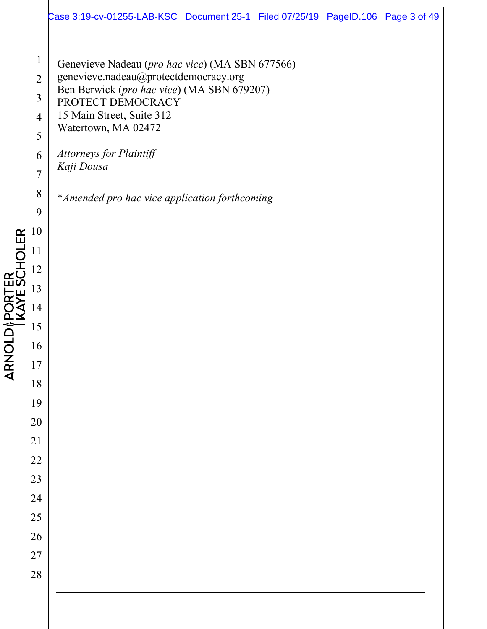|                                                                                                                                                                                                                            | Case 3:19-cv-01255-LAB-KSC Document 25-1 Filed 07/25/19 PageID.106 Page 3 of 49                                                                                                                                                                                                                                   |
|----------------------------------------------------------------------------------------------------------------------------------------------------------------------------------------------------------------------------|-------------------------------------------------------------------------------------------------------------------------------------------------------------------------------------------------------------------------------------------------------------------------------------------------------------------|
| $\mathbf{1}$<br>$\overline{2}$<br>$\mathfrak{Z}$<br>4<br>5<br>6<br>$\overline{7}$<br>8<br>9<br>10<br>11<br>12<br>13<br>14<br>15<br>16<br>17<br>18<br>19<br>20<br>$\overline{21}$<br>22<br>23<br>24<br>25<br>26<br>27<br>28 | Genevieve Nadeau (pro hac vice) (MA SBN 677566)<br>genevieve.nadeau@protectdemocracy.org<br>Ben Berwick (pro hac vice) (MA SBN 679207)<br>PROTECT DEMOCRACY<br>15 Main Street, Suite 312<br>Watertown, MA 02472<br><b>Attorneys for Plaintiff</b><br>Kaji Dousa<br>* Amended pro hac vice application forthcoming |
|                                                                                                                                                                                                                            |                                                                                                                                                                                                                                                                                                                   |

**ARNOLD & PORTER<br>I KAYE SCHOLER**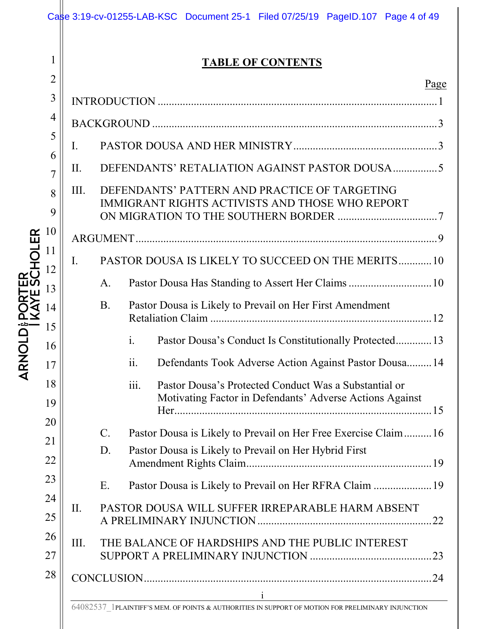|            |                |                          | Case 3:19-cv-01255-LAB-KSC Document 25-1 Filed 07/25/19 PageID.107 Page 4 of 49                                                                                                                                                                                                                             |  |  |  |  |  |
|------------|----------------|--------------------------|-------------------------------------------------------------------------------------------------------------------------------------------------------------------------------------------------------------------------------------------------------------------------------------------------------------|--|--|--|--|--|
|            | 1              | <b>TABLE OF CONTENTS</b> |                                                                                                                                                                                                                                                                                                             |  |  |  |  |  |
|            | $\overline{2}$ |                          | Page                                                                                                                                                                                                                                                                                                        |  |  |  |  |  |
|            | 3              |                          |                                                                                                                                                                                                                                                                                                             |  |  |  |  |  |
|            | 4              |                          |                                                                                                                                                                                                                                                                                                             |  |  |  |  |  |
|            | 5<br>6         | I.                       |                                                                                                                                                                                                                                                                                                             |  |  |  |  |  |
|            | 7              | II.                      |                                                                                                                                                                                                                                                                                                             |  |  |  |  |  |
|            | 8              | III.                     | DEFENDANTS' PATTERN AND PRACTICE OF TARGETING<br>IMMIGRANT RIGHTS ACTIVISTS AND THOSE WHO REPORT                                                                                                                                                                                                            |  |  |  |  |  |
|            | 9              |                          |                                                                                                                                                                                                                                                                                                             |  |  |  |  |  |
| EŘ         | 10<br>11       |                          |                                                                                                                                                                                                                                                                                                             |  |  |  |  |  |
|            | 12             | I.                       | PASTOR DOUSA IS LIKELY TO SUCCEED ON THE MERITS10                                                                                                                                                                                                                                                           |  |  |  |  |  |
|            | 13             |                          | Pastor Dousa Has Standing to Assert Her Claims  10<br>A.                                                                                                                                                                                                                                                    |  |  |  |  |  |
|            | 14             |                          | <b>B.</b><br>Pastor Dousa is Likely to Prevail on Her First Amendment                                                                                                                                                                                                                                       |  |  |  |  |  |
|            | 15             |                          |                                                                                                                                                                                                                                                                                                             |  |  |  |  |  |
|            | 16             |                          | $\mathbf{i}$ .<br>Pastor Dousa's Conduct Is Constitutionally Protected 13                                                                                                                                                                                                                                   |  |  |  |  |  |
| <b>ARN</b> | 17             |                          | ii.<br>Defendants Took Adverse Action Against Pastor Dousa 14                                                                                                                                                                                                                                               |  |  |  |  |  |
|            | 18<br>19       |                          | iii.<br>Pastor Dousa's Protected Conduct Was a Substantial or<br>Motivating Factor in Defendants' Adverse Actions Against                                                                                                                                                                                   |  |  |  |  |  |
|            | 20             |                          | $\mathbf{C}$ .                                                                                                                                                                                                                                                                                              |  |  |  |  |  |
|            | 21             |                          | Pastor Dousa is Likely to Prevail on Her Free Exercise Claim16<br>D.<br>Pastor Dousa is Likely to Prevail on Her Hybrid First                                                                                                                                                                               |  |  |  |  |  |
|            | 22             |                          |                                                                                                                                                                                                                                                                                                             |  |  |  |  |  |
|            | 23             |                          | Pastor Dousa is Likely to Prevail on Her RFRA Claim  19<br>E.                                                                                                                                                                                                                                               |  |  |  |  |  |
|            | 24<br>25       | II.                      | PASTOR DOUSA WILL SUFFER IRREPARABLE HARM ABSENT                                                                                                                                                                                                                                                            |  |  |  |  |  |
|            | 26             | III.                     | THE BALANCE OF HARDSHIPS AND THE PUBLIC INTEREST                                                                                                                                                                                                                                                            |  |  |  |  |  |
|            | 27             |                          |                                                                                                                                                                                                                                                                                                             |  |  |  |  |  |
|            | 28             |                          |                                                                                                                                                                                                                                                                                                             |  |  |  |  |  |
|            |                |                          | $\mathbf{i}$<br>$\begin{aligned} \mathcal{L}_{\text{max}}(\mathbf{r}) = \mathcal{L}_{\text{max}}(\mathbf{r}) \mathcal{L}_{\text{max}}(\mathbf{r}) \mathcal{L}_{\text{max}}(\mathbf{r}) \end{aligned}$<br>64082537 1PLAINTIFF'S MEM. OF POINTS & AUTHORITIES IN SUPPORT OF MOTION FOR PRELIMINARY INJUNCTION |  |  |  |  |  |
|            |                |                          |                                                                                                                                                                                                                                                                                                             |  |  |  |  |  |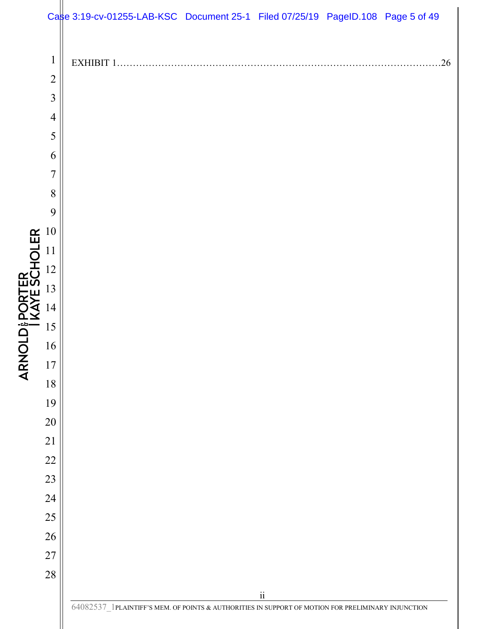|                                   |                                                                                                                                                                                                    | Case 3:19-cv-01255-LAB-KSC Document 25-1 Filed 07/25/19 PageID.108 Page 5 of 49                        |                          |    |
|-----------------------------------|----------------------------------------------------------------------------------------------------------------------------------------------------------------------------------------------------|--------------------------------------------------------------------------------------------------------|--------------------------|----|
| ARNOLD & PORTER<br>  KAYE SCHOLER | $\mathbf{1}$<br>$\overline{2}$<br>$\mathfrak{Z}$<br>$\overline{4}$<br>5<br>6<br>$\overline{7}$<br>8<br>9<br>10<br>11<br>12<br>13<br>14<br>15<br>16<br>$17$<br>18<br>19<br>$20\,$<br>21<br>22<br>23 | EXHIBIT 1                                                                                              |                          | 26 |
|                                   |                                                                                                                                                                                                    |                                                                                                        |                          |    |
|                                   |                                                                                                                                                                                                    |                                                                                                        |                          |    |
|                                   | 24                                                                                                                                                                                                 |                                                                                                        |                          |    |
|                                   | 25<br>$26\,$                                                                                                                                                                                       |                                                                                                        |                          |    |
|                                   | 27                                                                                                                                                                                                 |                                                                                                        |                          |    |
|                                   | $28\,$                                                                                                                                                                                             |                                                                                                        |                          |    |
|                                   |                                                                                                                                                                                                    |                                                                                                        | $\overline{\textbf{ii}}$ |    |
|                                   |                                                                                                                                                                                                    | $64082537\_1$ PLAINTIFF'S MEM. OF POINTS & AUTHORITIES IN SUPPORT OF MOTION FOR PRELIMINARY INJUNCTION |                          |    |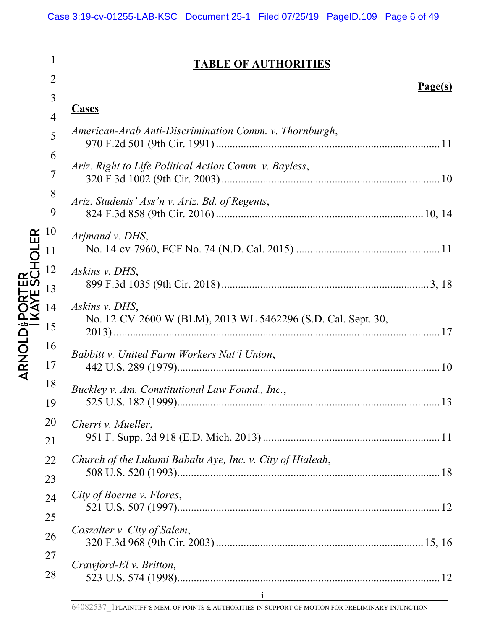|                                                      |                                                                                                                                                                             | Case 3:19-cv-01255-LAB-KSC Document 25-1 Filed 07/25/19 PageID.109 Page 6 of 49                                                                                                                                                                                                                                                                                                                                                                                                                                                                                                                                                                                                                                                                    |
|------------------------------------------------------|-----------------------------------------------------------------------------------------------------------------------------------------------------------------------------|----------------------------------------------------------------------------------------------------------------------------------------------------------------------------------------------------------------------------------------------------------------------------------------------------------------------------------------------------------------------------------------------------------------------------------------------------------------------------------------------------------------------------------------------------------------------------------------------------------------------------------------------------------------------------------------------------------------------------------------------------|
|                                                      | $\mathbf 1$<br>$\overline{2}$                                                                                                                                               | <b>TABLE OF AUTHORITIES</b>                                                                                                                                                                                                                                                                                                                                                                                                                                                                                                                                                                                                                                                                                                                        |
| ER<br>SCHOLER<br>OLD <sub>8</sub><br><b>Z<br/>AR</b> | 3<br>$\overline{4}$<br>5<br>6<br>$\overline{7}$<br>8<br>9<br>10<br>11<br>12<br>13<br>14<br>15<br>16<br>17<br>18<br>19<br>20<br>21<br>22<br>23<br>24<br>25<br>26<br>27<br>28 | Page(s)<br><b>Cases</b><br>American-Arab Anti-Discrimination Comm. v. Thornburgh,<br>Ariz. Right to Life Political Action Comm. v. Bayless,<br>Ariz. Students' Ass'n v. Ariz. Bd. of Regents,<br>Arjmand v. DHS,<br>Askins v. DHS,<br>Askins v. DHS,<br>No. 12-CV-2600 W (BLM), 2013 WL 5462296 (S.D. Cal. Sept. 30,<br>17<br>Babbitt v. United Farm Workers Nat'l Union,<br>Buckley v. Am. Constitutional Law Found., Inc.,<br>Cherri v. Mueller,<br>Church of the Lukumi Babalu Aye, Inc. v. City of Hialeah,<br>City of Boerne v. Flores,<br>Coszalter v. City of Salem,<br>Crawford-El v. Britton,<br>$\mathbf{i}$ and $\mathbf{j}$ and $\mathbf{k}$ are the set of $\mathbf{j}$ and $\mathbf{k}$ and $\mathbf{k}$ are the set of $\mathbf{k}$ |
|                                                      |                                                                                                                                                                             | 64082537 1PLAINTIFF'S MEM. OF POINTS & AUTHORITIES IN SUPPORT OF MOTION FOR PRELIMINARY INJUNCTION                                                                                                                                                                                                                                                                                                                                                                                                                                                                                                                                                                                                                                                 |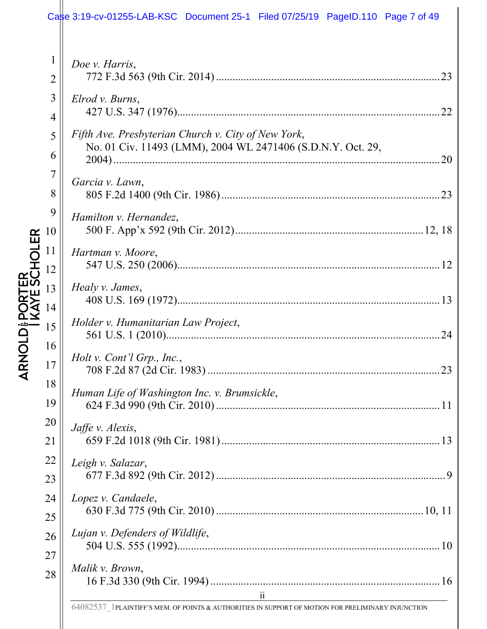# Case 3:19-cv-01255-LAB-KSC Document 25-1 Filed 07/25/19 PageID.110 Page 7 of 49

| $\mathbf{1}$   | Doe v. Harris,                                                                                                        |
|----------------|-----------------------------------------------------------------------------------------------------------------------|
| $\overline{2}$ |                                                                                                                       |
| 3              | Elrod v. Burns,                                                                                                       |
| $\overline{4}$ | Fifth Ave. Presbyterian Church v. City of New York,                                                                   |
| 5              | No. 01 Civ. 11493 (LMM), 2004 WL 2471406 (S.D.N.Y. Oct. 29,                                                           |
| 6              |                                                                                                                       |
| $\overline{7}$ | Garcia v. Lawn,                                                                                                       |
| 8              |                                                                                                                       |
| 9              | Hamilton v. Hernandez,                                                                                                |
| 10             |                                                                                                                       |
| 11             | Hartman v. Moore,                                                                                                     |
| 12             |                                                                                                                       |
| 13             | Healy v. James,                                                                                                       |
| 14             |                                                                                                                       |
| 15             | Holder v. Humanitarian Law Project,                                                                                   |
| 16             | Holt v. Cont'l Grp., Inc.,                                                                                            |
| 17             |                                                                                                                       |
| 18             | Human Life of Washington Inc. v. Brumsickle,                                                                          |
| 19             |                                                                                                                       |
| 20             | Jaffe v. Alexis,                                                                                                      |
| 21             |                                                                                                                       |
| 22             | Leigh v. Salazar,                                                                                                     |
| 23             |                                                                                                                       |
| 24             | Lopez v. Candaele,                                                                                                    |
| 25             |                                                                                                                       |
| 26             | Lujan v. Defenders of Wildlife,                                                                                       |
| 27             | Malik v. Brown,                                                                                                       |
| 28             |                                                                                                                       |
|                | $\ddot{\rm ii}$<br>64082537 1PLAINTIFF'S MEM. OF POINTS & AUTHORITIES IN SUPPORT OF MOTION FOR PRELIMINARY INJUNCTION |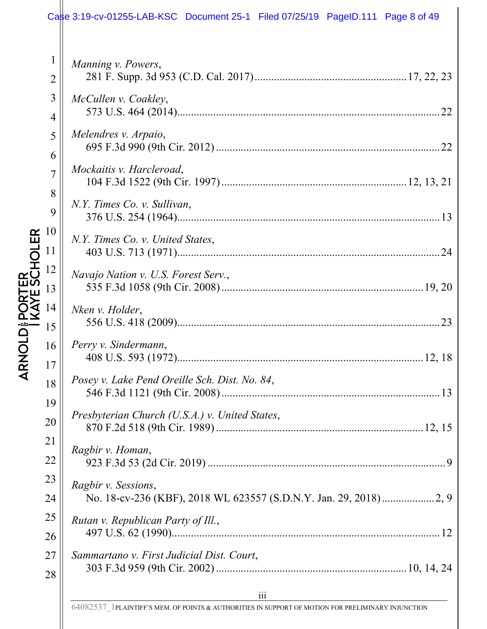## Case 3:19-cv-01255-LAB-KSC Document 25-1 Filed 07/25/19 PageID.111 Page 8 of 49

|                                                         | 1              |                                                |
|---------------------------------------------------------|----------------|------------------------------------------------|
|                                                         | $\overline{2}$ | Manning v. Powers,                             |
|                                                         | 3              | McCullen v. Coakley,                           |
|                                                         | $\overline{4}$ |                                                |
|                                                         | 5<br>6         | Melendres v. Arpaio,                           |
|                                                         | 7              | Mockaitis v. Harcleroad,                       |
|                                                         | 8<br>9         | N.Y. Times Co. v. Sullivan,                    |
|                                                         |                |                                                |
|                                                         |                | N.Y. Times Co. v. United States,               |
| ARNOLD PORTER<br>I KAYE SCHOLER<br>15<br>15<br>17<br>17 |                | Navajo Nation v. U.S. Forest Serv.,            |
|                                                         |                | Nken v. Holder,                                |
|                                                         |                |                                                |
|                                                         |                | Perry v. Sindermann,                           |
|                                                         |                |                                                |
|                                                         | 18             | Posey v. Lake Pend Oreille Sch. Dist. No. 84,  |
|                                                         | 19             |                                                |
|                                                         | 20             | Presbyterian Church (U.S.A.) v. United States, |
|                                                         | 21             |                                                |
|                                                         | 22             | Ragbir v. Homan,                               |
|                                                         | 23             | Ragbir v. Sessions,                            |
|                                                         | 24             |                                                |
|                                                         | 25             | Rutan v. Republican Party of Ill.,             |

26

27

28

497 U.S. 62 (1990)................................................................................................. 12 *Sammartano v. First Judicial Dist. Court*, 303 F.3d 959 (9th Cir. 2002) ..................................................................... 10, 14, 24

64082537\_1PLAINTIFF'S MEM. OF POINTS & AUTHORITIES IN SUPPORT OF MOTION FOR PRELIMINARY INJUNCTION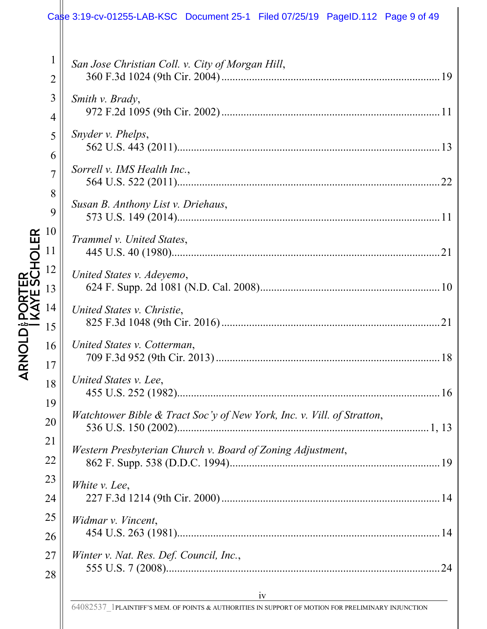## Case 3:19-cv-01255-LAB-KSC Document 25-1 Filed 07/25/19 PageID.112 Page 9 of 49

| $\mathbf{1}$<br>$\overline{2}$ | San Jose Christian Coll. v. City of Morgan Hill,                          |
|--------------------------------|---------------------------------------------------------------------------|
|                                |                                                                           |
| 3                              | Smith v. Brady,                                                           |
| $\overline{4}$                 |                                                                           |
| 5                              | Snyder v. Phelps,                                                         |
| 6                              |                                                                           |
| $\overline{7}$                 | Sorrell v. IMS Health Inc.,                                               |
| 8                              |                                                                           |
| 9                              | Susan B. Anthony List v. Driehaus,                                        |
| 10                             |                                                                           |
| 11                             | Trammel v. United States,<br>21                                           |
| 12                             |                                                                           |
| 13                             | United States v. Adeyemo,                                                 |
| 14                             | United States v. Christie,                                                |
| 15                             |                                                                           |
| 16                             | United States v. Cotterman,                                               |
| 17                             |                                                                           |
|                                | United States v. Lee,                                                     |
| 18                             |                                                                           |
| 19                             | Watchtower Bible & Tract Soc'y of New York, Inc. v. Vill. of Stratton,    |
| 20                             |                                                                           |
| 21                             | Western Presbyterian Church v. Board of Zoning Adjustment,                |
| 22                             |                                                                           |
| 23                             | White v. Lee,                                                             |
| 24                             |                                                                           |
| 25                             | Widmar v. Vincent,                                                        |
| 26                             |                                                                           |
| 27                             | Winter v. Nat. Res. Def. Council, Inc.,                                   |
| 28                             |                                                                           |
|                                | iv<br><u> 1980 - Andrea Station Barbara, amerikan personal (h. 1980).</u> |
|                                |                                                                           |

64082537\_1PLAINTIFF'S MEM. OF POINTS & AUTHORITIES IN SUPPORT OF MOTION FOR PRELIMINARY INJUNCTION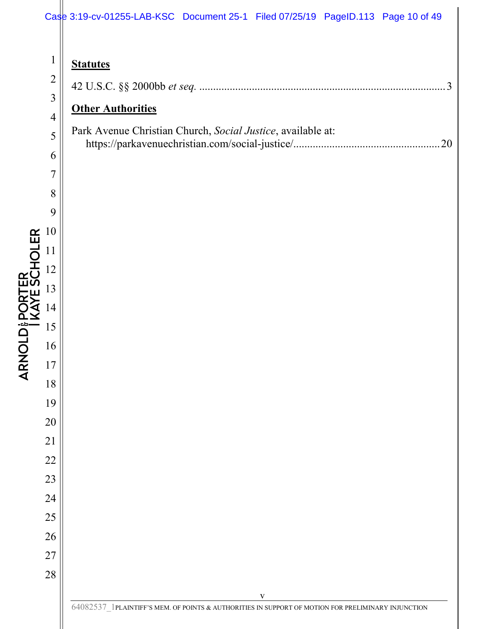## Case 3:19-cv-01255-LAB-KSC Document 25-1 Filed 07/25/19 PageID.113 Page 10 of 49

|                                     | $\mathbf{1}$                               |
|-------------------------------------|--------------------------------------------|
|                                     |                                            |
|                                     | 2<br>3<br>4                                |
|                                     |                                            |
|                                     | 5                                          |
|                                     |                                            |
|                                     | $\begin{array}{c} 6 \\ 7 \\ 8 \end{array}$ |
|                                     |                                            |
|                                     | $\overline{9}$                             |
|                                     | 10                                         |
|                                     | $\mathbf 1$<br>$\mathbf 1$                 |
| こしり                                 | 12                                         |
| ֓֓׆֧֧֧֧֢֦֧֧֧֬֜<br>֧֢ׅ֓֩֩֩<br>)<br>. | 13                                         |
|                                     | $\frac{14}{5}$                             |
| --<br>C<br>-                        | 5<br>$\mathbf 1$                           |
|                                     | $\frac{16}{1}$                             |
| ſ                                   | $\overline{7}$<br>1                        |
|                                     | 8<br>1                                     |
|                                     | 19                                         |
|                                     | 20                                         |
|                                     | 21                                         |
|                                     | 22                                         |
|                                     | 23                                         |
|                                     | 24                                         |
|                                     | 25                                         |
|                                     | 26                                         |
|                                     | 27                                         |
|                                     |                                            |

 $\overline{\phantom{a}}$ 

| $\mathbf{1}$   | <b>Statutes</b>                                                                                                    |
|----------------|--------------------------------------------------------------------------------------------------------------------|
| $\overline{2}$ | . . 3                                                                                                              |
| $\overline{3}$ | <b>Other Authorities</b>                                                                                           |
| $\overline{4}$ |                                                                                                                    |
| 5              | Park Avenue Christian Church, Social Justice, available at:<br>.20                                                 |
| 6              |                                                                                                                    |
| $\overline{7}$ |                                                                                                                    |
| 8              |                                                                                                                    |
| 9              |                                                                                                                    |
| 10             |                                                                                                                    |
| 11             |                                                                                                                    |
| 12             |                                                                                                                    |
| 13             |                                                                                                                    |
| 14             |                                                                                                                    |
| 15             |                                                                                                                    |
| 16             |                                                                                                                    |
| 17             |                                                                                                                    |
| 18             |                                                                                                                    |
| 19             |                                                                                                                    |
| 20             |                                                                                                                    |
| 21             |                                                                                                                    |
| 22             |                                                                                                                    |
| 23             |                                                                                                                    |
| 24             |                                                                                                                    |
| 25             |                                                                                                                    |
| 26             |                                                                                                                    |
| 27             |                                                                                                                    |
| 28             |                                                                                                                    |
|                | $\mathbf{V}$<br>64082537 1PLAINTIFF'S MEM. OF POINTS & AUTHORITIES IN SUPPORT OF MOTION FOR PRELIMINARY INJUNCTION |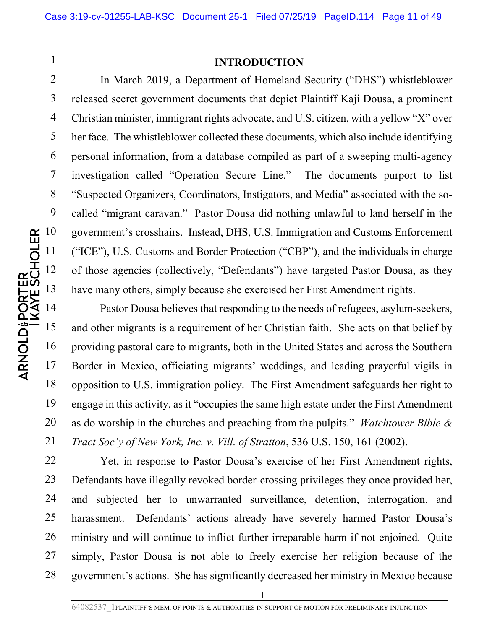#### **INTRODUCTION**

In March 2019, a Department of Homeland Security ("DHS") whistleblower released secret government documents that depict Plaintiff Kaji Dousa, a prominent Christian minister, immigrant rights advocate, and U.S. citizen, with a yellow "X" over her face. The whistleblower collected these documents, which also include identifying personal information, from a database compiled as part of a sweeping multi-agency investigation called "Operation Secure Line." The documents purport to list "Suspected Organizers, Coordinators, Instigators, and Media" associated with the socalled "migrant caravan." Pastor Dousa did nothing unlawful to land herself in the government's crosshairs. Instead, DHS, U.S. Immigration and Customs Enforcement ("ICE"), U.S. Customs and Border Protection ("CBP"), and the individuals in charge of those agencies (collectively, "Defendants") have targeted Pastor Dousa, as they have many others, simply because she exercised her First Amendment rights.

Pastor Dousa believes that responding to the needs of refugees, asylum-seekers, and other migrants is a requirement of her Christian faith. She acts on that belief by providing pastoral care to migrants, both in the United States and across the Southern Border in Mexico, officiating migrants' weddings, and leading prayerful vigils in opposition to U.S. immigration policy. The First Amendment safeguards her right to engage in this activity, as it "occupies the same high estate under the First Amendment as do worship in the churches and preaching from the pulpits." *Watchtower Bible & Tract Soc'y of New York, Inc. v. Vill. of Stratton*, 536 U.S. 150, 161 (2002).

Yet, in response to Pastor Dousa's exercise of her First Amendment rights, Defendants have illegally revoked border-crossing privileges they once provided her, and subjected her to unwarranted surveillance, detention, interrogation, and harassment. Defendants' actions already have severely harmed Pastor Dousa's ministry and will continue to inflict further irreparable harm if not enjoined. Quite simply, Pastor Dousa is not able to freely exercise her religion because of the government's actions. She has significantly decreased her ministry in Mexico because

20

21

22

23

24

25

26

27

28

1

2

3

4

5

6

7

64082537\_1PLAINTIFF'S MEM. OF POINTS & AUTHORITIES IN SUPPORT OF MOTION FOR PRELIMINARY INJUNCTION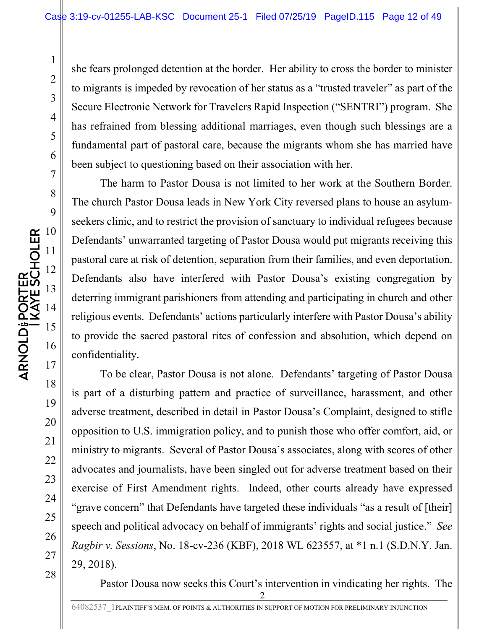she fears prolonged detention at the border. Her ability to cross the border to minister to migrants is impeded by revocation of her status as a "trusted traveler" as part of the Secure Electronic Network for Travelers Rapid Inspection ("SENTRI") program. She has refrained from blessing additional marriages, even though such blessings are a fundamental part of pastoral care, because the migrants whom she has married have been subject to questioning based on their association with her.

The harm to Pastor Dousa is not limited to her work at the Southern Border. The church Pastor Dousa leads in New York City reversed plans to house an asylumseekers clinic, and to restrict the provision of sanctuary to individual refugees because Defendants' unwarranted targeting of Pastor Dousa would put migrants receiving this pastoral care at risk of detention, separation from their families, and even deportation. Defendants also have interfered with Pastor Dousa's existing congregation by deterring immigrant parishioners from attending and participating in church and other religious events. Defendants' actions particularly interfere with Pastor Dousa's ability to provide the sacred pastoral rites of confession and absolution, which depend on confidentiality.

To be clear, Pastor Dousa is not alone. Defendants' targeting of Pastor Dousa is part of a disturbing pattern and practice of surveillance, harassment, and other adverse treatment, described in detail in Pastor Dousa's Complaint, designed to stifle opposition to U.S. immigration policy, and to punish those who offer comfort, aid, or ministry to migrants. Several of Pastor Dousa's associates, along with scores of other advocates and journalists, have been singled out for adverse treatment based on their exercise of First Amendment rights. Indeed, other courts already have expressed "grave concern" that Defendants have targeted these individuals "as a result of [their] speech and political advocacy on behalf of immigrants' rights and social justice." *See Ragbir v. Sessions*, No. 18-cv-236 (KBF), 2018 WL 623557, at \*1 n.1 (S.D.N.Y. Jan. 29, 2018).

Pastor Dousa now seeks this Court's intervention in vindicating her rights. The

21

22

23

24

25

26

27

28

1

2

3

4

5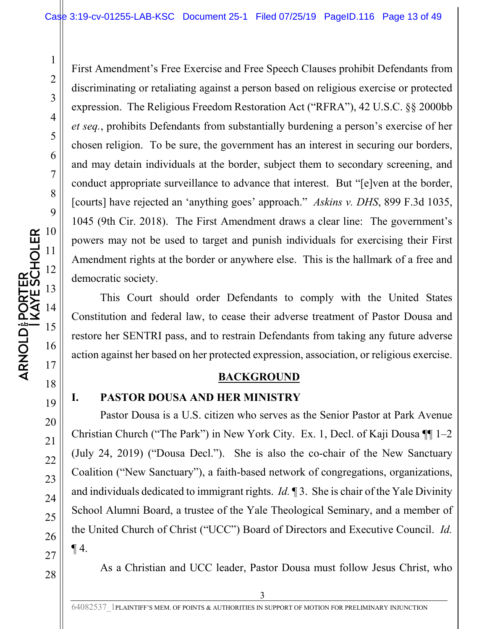First Amendment's Free Exercise and Free Speech Clauses prohibit Defendants from discriminating or retaliating against a person based on religious exercise or protected expression. The Religious Freedom Restoration Act ("RFRA"), 42 U.S.C. §§ 2000bb *et seq.*, prohibits Defendants from substantially burdening a person's exercise of her chosen religion. To be sure, the government has an interest in securing our borders, and may detain individuals at the border, subject them to secondary screening, and conduct appropriate surveillance to advance that interest. But "[e]ven at the border, [courts] have rejected an 'anything goes' approach." *Askins v. DHS*, 899 F.3d 1035, 1045 (9th Cir. 2018). The First Amendment draws a clear line: The government's powers may not be used to target and punish individuals for exercising their First Amendment rights at the border or anywhere else. This is the hallmark of a free and democratic society.

This Court should order Defendants to comply with the United States Constitution and federal law, to cease their adverse treatment of Pastor Dousa and restore her SENTRI pass, and to restrain Defendants from taking any future adverse action against her based on her protected expression, association, or religious exercise.

#### **BACKGROUND**

#### **I. PASTOR DOUSA AND HER MINISTRY**

Pastor Dousa is a U.S. citizen who serves as the Senior Pastor at Park Avenue Christian Church ("The Park") in New York City. Ex. 1, Decl. of Kaji Dousa ¶¶ 1–2 (July 24, 2019) ("Dousa Decl."). She is also the co-chair of the New Sanctuary Coalition ("New Sanctuary"), a faith-based network of congregations, organizations, and individuals dedicated to immigrant rights. *Id.* ¶ 3. She is chair of the Yale Divinity School Alumni Board, a trustee of the Yale Theological Seminary, and a member of the United Church of Christ ("UCC") Board of Directors and Executive Council. *Id.*  $\P$ 4.

As a Christian and UCC leader, Pastor Dousa must follow Jesus Christ, who

23

24

25

26

27

28

1

2

3

4

5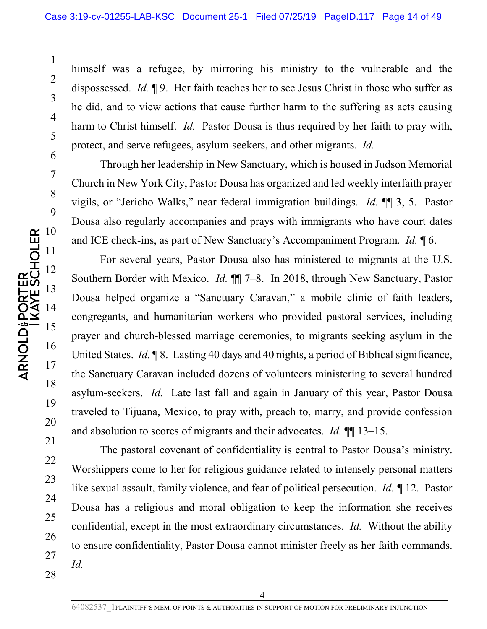himself was a refugee, by mirroring his ministry to the vulnerable and the dispossessed. *Id.* ¶ 9. Her faith teaches her to see Jesus Christ in those who suffer as he did, and to view actions that cause further harm to the suffering as acts causing harm to Christ himself. *Id.* Pastor Dousa is thus required by her faith to pray with, protect, and serve refugees, asylum-seekers, and other migrants. *Id.*

Through her leadership in New Sanctuary, which is housed in Judson Memorial Church in New York City, Pastor Dousa has organized and led weekly interfaith prayer vigils, or "Jericho Walks," near federal immigration buildings. *Id.* ¶¶ 3, 5. Pastor Dousa also regularly accompanies and prays with immigrants who have court dates and ICE check-ins, as part of New Sanctuary's Accompaniment Program. *Id.* ¶ 6.

For several years, Pastor Dousa also has ministered to migrants at the U.S. Southern Border with Mexico. *Id.* ¶¶ 7–8. In 2018, through New Sanctuary, Pastor Dousa helped organize a "Sanctuary Caravan," a mobile clinic of faith leaders, congregants, and humanitarian workers who provided pastoral services, including prayer and church-blessed marriage ceremonies, to migrants seeking asylum in the United States. *Id.* ¶ 8. Lasting 40 days and 40 nights, a period of Biblical significance, the Sanctuary Caravan included dozens of volunteers ministering to several hundred asylum-seekers. *Id.* Late last fall and again in January of this year, Pastor Dousa traveled to Tijuana, Mexico, to pray with, preach to, marry, and provide confession and absolution to scores of migrants and their advocates. *Id.* ¶¶ 13–15.

The pastoral covenant of confidentiality is central to Pastor Dousa's ministry. Worshippers come to her for religious guidance related to intensely personal matters like sexual assault, family violence, and fear of political persecution. *Id. ¶* 12. Pastor Dousa has a religious and moral obligation to keep the information she receives confidential, except in the most extraordinary circumstances. *Id.* Without the ability to ensure confidentiality, Pastor Dousa cannot minister freely as her faith commands. *Id.* 

22

23

24

25

26

27

28

1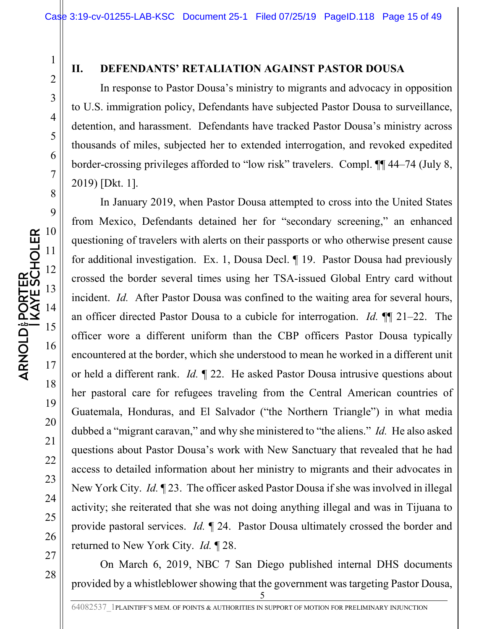23

24

25

26

27

28

1

#### **II. DEFENDANTS' RETALIATION AGAINST PASTOR DOUSA**

In response to Pastor Dousa's ministry to migrants and advocacy in opposition to U.S. immigration policy, Defendants have subjected Pastor Dousa to surveillance, detention, and harassment. Defendants have tracked Pastor Dousa's ministry across thousands of miles, subjected her to extended interrogation, and revoked expedited border-crossing privileges afforded to "low risk" travelers. Compl. ¶¶ 44–74 (July 8, 2019) [Dkt. 1].

In January 2019, when Pastor Dousa attempted to cross into the United States from Mexico, Defendants detained her for "secondary screening," an enhanced questioning of travelers with alerts on their passports or who otherwise present cause for additional investigation. Ex. 1, Dousa Decl. ¶ 19. Pastor Dousa had previously crossed the border several times using her TSA-issued Global Entry card without incident. *Id.* After Pastor Dousa was confined to the waiting area for several hours, an officer directed Pastor Dousa to a cubicle for interrogation. *Id.* ¶¶ 21–22. The officer wore a different uniform than the CBP officers Pastor Dousa typically encountered at the border, which she understood to mean he worked in a different unit or held a different rank. *Id.* ¶ 22. He asked Pastor Dousa intrusive questions about her pastoral care for refugees traveling from the Central American countries of Guatemala, Honduras, and El Salvador ("the Northern Triangle") in what media dubbed a "migrant caravan," and why she ministered to "the aliens." *Id.* He also asked questions about Pastor Dousa's work with New Sanctuary that revealed that he had access to detailed information about her ministry to migrants and their advocates in New York City. *Id.* ¶ 23. The officer asked Pastor Dousa if she was involved in illegal activity; she reiterated that she was not doing anything illegal and was in Tijuana to provide pastoral services. *Id.* ¶ 24. Pastor Dousa ultimately crossed the border and returned to New York City. *Id.* ¶ 28.

On March 6, 2019, NBC 7 San Diego published internal DHS documents provided by a whistleblower showing that the government was targeting Pastor Dousa,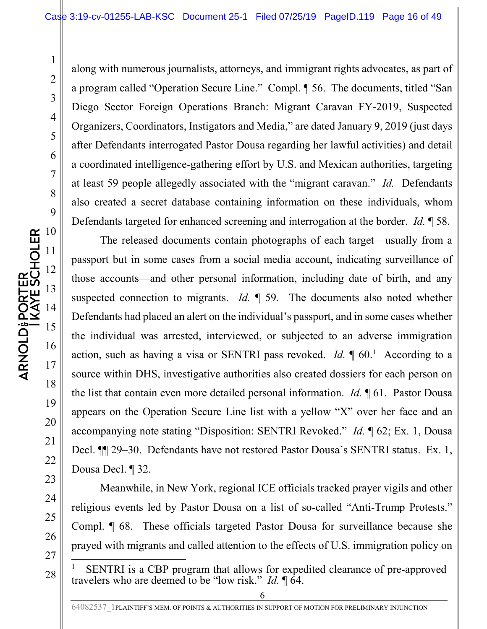1

2

3

along with numerous journalists, attorneys, and immigrant rights advocates, as part of a program called "Operation Secure Line." Compl. ¶ 56. The documents, titled "San Diego Sector Foreign Operations Branch: Migrant Caravan FY-2019, Suspected Organizers, Coordinators, Instigators and Media," are dated January 9, 2019 (just days after Defendants interrogated Pastor Dousa regarding her lawful activities) and detail a coordinated intelligence-gathering effort by U.S. and Mexican authorities, targeting at least 59 people allegedly associated with the "migrant caravan." *Id.* Defendants also created a secret database containing information on these individuals, whom Defendants targeted for enhanced screening and interrogation at the border. *Id.* ¶ 58.

The released documents contain photographs of each target—usually from a passport but in some cases from a social media account, indicating surveillance of those accounts—and other personal information, including date of birth, and any suspected connection to migrants. *Id.* ¶ 59. The documents also noted whether Defendants had placed an alert on the individual's passport, and in some cases whether the individual was arrested, interviewed, or subjected to an adverse immigration action, such as having a visa or SENTRI pass revoked.  $Id. \P 60$ <sup>1</sup> According to a source within DHS, investigative authorities also created dossiers for each person on the list that contain even more detailed personal information. *Id.* ¶ 61. Pastor Dousa appears on the Operation Secure Line list with a yellow "X" over her face and an accompanying note stating "Disposition: SENTRI Revoked." *Id.* ¶ 62; Ex. 1, Dousa Decl. ¶¶ 29–30. Defendants have not restored Pastor Dousa's SENTRI status. Ex. 1, Dousa Decl. ¶ 32.

Meanwhile, in New York, regional ICE officials tracked prayer vigils and other religious events led by Pastor Dousa on a list of so-called "Anti-Trump Protests." Compl. ¶ 68. These officials targeted Pastor Dousa for surveillance because she prayed with migrants and called attention to the effects of U.S. immigration policy on

17

18

19

20

21

22

23

24

25

26

27

<sup>1</sup> SENTRI is a CBP program that allows for expedited clearance of pre-approved travelers who are deemed to be "low risk." *Id.* ¶ 64.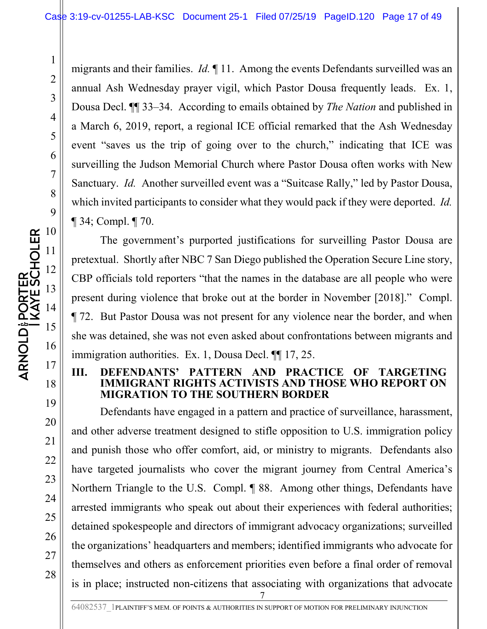migrants and their families. *Id.* ¶ 11. Among the events Defendants surveilled was an annual Ash Wednesday prayer vigil, which Pastor Dousa frequently leads. Ex. 1, Dousa Decl. ¶¶ 33–34. According to emails obtained by *The Nation* and published in a March 6, 2019, report, a regional ICE official remarked that the Ash Wednesday event "saves us the trip of going over to the church," indicating that ICE was surveilling the Judson Memorial Church where Pastor Dousa often works with New Sanctuary. *Id.* Another surveilled event was a "Suitcase Rally," led by Pastor Dousa, which invited participants to consider what they would pack if they were deported. *Id.* ¶ 34; Compl. ¶ 70.

The government's purported justifications for surveilling Pastor Dousa are pretextual. Shortly after NBC 7 San Diego published the Operation Secure Line story, CBP officials told reporters "that the names in the database are all people who were present during violence that broke out at the border in November [2018]." Compl. ¶ 72. But Pastor Dousa was not present for any violence near the border, and when she was detained, she was not even asked about confrontations between migrants and immigration authorities. Ex. 1, Dousa Decl. ¶¶ 17, 25.

#### **III. DEFENDANTS' PATTERN AND PRACTICE OF TARGETING IGRANT RIGHTS ACTIVISTS AND THOSE WHO REPORT ON MIGRATION TO THE SOUTHERN BORDER**

7 Defendants have engaged in a pattern and practice of surveillance, harassment, and other adverse treatment designed to stifle opposition to U.S. immigration policy and punish those who offer comfort, aid, or ministry to migrants. Defendants also have targeted journalists who cover the migrant journey from Central America's Northern Triangle to the U.S. Compl. ¶ 88. Among other things, Defendants have arrested immigrants who speak out about their experiences with federal authorities; detained spokespeople and directors of immigrant advocacy organizations; surveilled the organizations' headquarters and members; identified immigrants who advocate for themselves and others as enforcement priorities even before a final order of removal is in place; instructed non-citizens that associating with organizations that advocate

26

27

28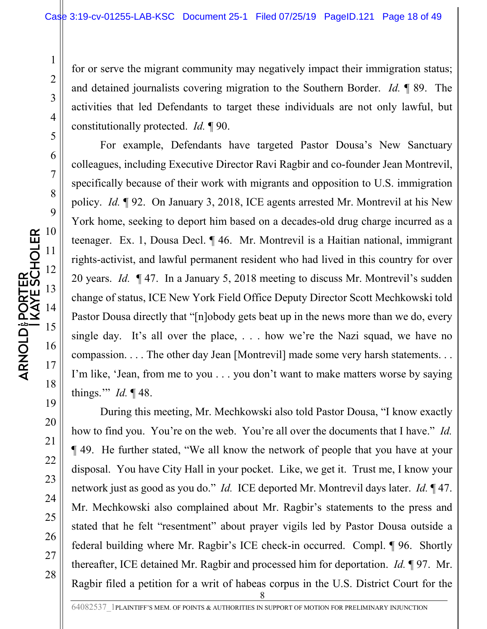for or serve the migrant community may negatively impact their immigration status; and detained journalists covering migration to the Southern Border. *Id.* ¶ 89. The activities that led Defendants to target these individuals are not only lawful, but constitutionally protected. *Id.* ¶ 90.

For example, Defendants have targeted Pastor Dousa's New Sanctuary colleagues, including Executive Director Ravi Ragbir and co-founder Jean Montrevil, specifically because of their work with migrants and opposition to U.S. immigration policy. *Id.* ¶ 92. On January 3, 2018, ICE agents arrested Mr. Montrevil at his New York home, seeking to deport him based on a decades-old drug charge incurred as a teenager. Ex. 1, Dousa Decl. ¶ 46. Mr. Montrevil is a Haitian national, immigrant rights-activist, and lawful permanent resident who had lived in this country for over 20 years. *Id.* ¶ 47. In a January 5, 2018 meeting to discuss Mr. Montrevil's sudden change of status, ICE New York Field Office Deputy Director Scott Mechkowski told Pastor Dousa directly that "[n]obody gets beat up in the news more than we do, every single day. It's all over the place, . . . how we're the Nazi squad, we have no compassion. . . . The other day Jean [Montrevil] made some very harsh statements. . . I'm like, 'Jean, from me to you . . . you don't want to make matters worse by saying things.'" *Id.* ¶ 48.

8 During this meeting, Mr. Mechkowski also told Pastor Dousa, "I know exactly how to find you. You're on the web. You're all over the documents that I have." *Id.* ¶ 49. He further stated, "We all know the network of people that you have at your disposal. You have City Hall in your pocket. Like, we get it. Trust me, I know your network just as good as you do." *Id.* ICE deported Mr. Montrevil days later. *Id.* ¶ 47. Mr. Mechkowski also complained about Mr. Ragbir's statements to the press and stated that he felt "resentment" about prayer vigils led by Pastor Dousa outside a federal building where Mr. Ragbir's ICE check-in occurred. Compl. ¶ 96. Shortly thereafter, ICE detained Mr. Ragbir and processed him for deportation. *Id.* ¶ 97. Mr. Ragbir filed a petition for a writ of habeas corpus in the U.S. District Court for the

22

23

24

25

26

27

28

1

2

3

4

5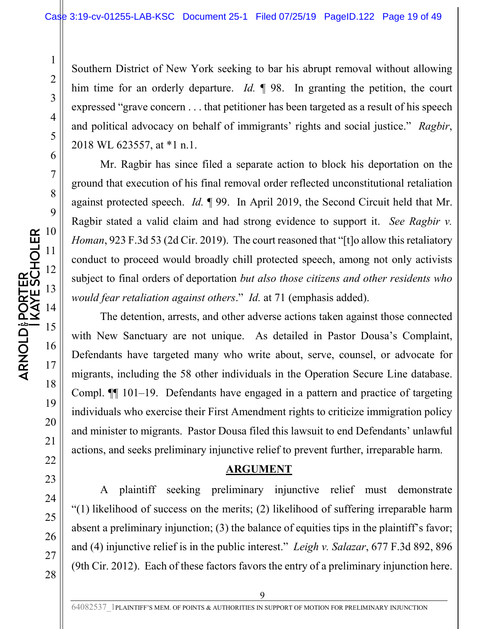Southern District of New York seeking to bar his abrupt removal without allowing him time for an orderly departure. *Id.* ¶ 98. In granting the petition, the court expressed "grave concern . . . that petitioner has been targeted as a result of his speech and political advocacy on behalf of immigrants' rights and social justice." *Ragbir*, 2018 WL 623557, at \*1 n.1.

Mr. Ragbir has since filed a separate action to block his deportation on the ground that execution of his final removal order reflected unconstitutional retaliation against protected speech. *Id.* ¶ 99. In April 2019, the Second Circuit held that Mr. Ragbir stated a valid claim and had strong evidence to support it. *See Ragbir v. Homan*, 923 F.3d 53 (2d Cir. 2019). The court reasoned that "[t]o allow this retaliatory conduct to proceed would broadly chill protected speech, among not only activists subject to final orders of deportation *but also those citizens and other residents who would fear retaliation against others*." *Id.* at 71 (emphasis added).

The detention, arrests, and other adverse actions taken against those connected with New Sanctuary are not unique. As detailed in Pastor Dousa's Complaint, Defendants have targeted many who write about, serve, counsel, or advocate for migrants, including the 58 other individuals in the Operation Secure Line database. Compl. ¶¶ 101–19. Defendants have engaged in a pattern and practice of targeting individuals who exercise their First Amendment rights to criticize immigration policy and minister to migrants. Pastor Dousa filed this lawsuit to end Defendants' unlawful actions, and seeks preliminary injunctive relief to prevent further, irreparable harm.

#### **ARGUMENT**

A plaintiff seeking preliminary injunctive relief must demonstrate "(1) likelihood of success on the merits; (2) likelihood of suffering irreparable harm absent a preliminary injunction; (3) the balance of equities tips in the plaintiff's favor; and (4) injunctive relief is in the public interest." *Leigh v. Salazar*, 677 F.3d 892, 896 (9th Cir. 2012). Each of these factors favors the entry of a preliminary injunction here.

27

28

1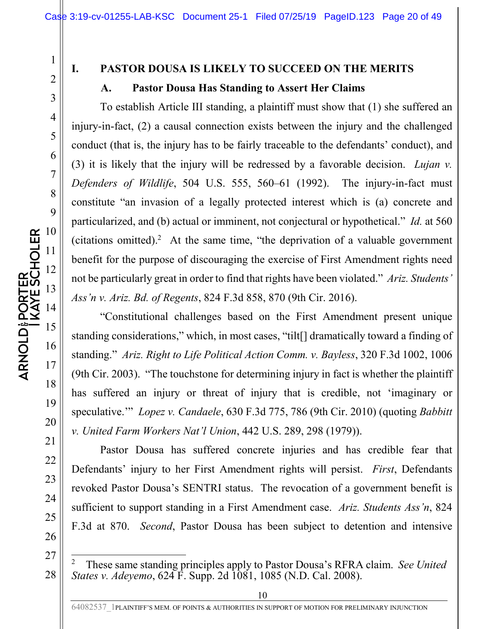18

19

20

21

22

23

24

25

26

27

28

1

## **I. PASTOR DOUSA IS LIKELY TO SUCCEED ON THE MERITS**

#### **A. Pastor Dousa Has Standing to Assert Her Claims**

To establish Article III standing, a plaintiff must show that (1) she suffered an injury-in-fact, (2) a causal connection exists between the injury and the challenged conduct (that is, the injury has to be fairly traceable to the defendants' conduct), and (3) it is likely that the injury will be redressed by a favorable decision. *Lujan v. Defenders of Wildlife*, 504 U.S. 555, 560–61 (1992). The injury-in-fact must constitute "an invasion of a legally protected interest which is (a) concrete and particularized, and (b) actual or imminent, not conjectural or hypothetical." *Id.* at 560 (citations omitted).<sup>2</sup> At the same time, "the deprivation of a valuable government benefit for the purpose of discouraging the exercise of First Amendment rights need not be particularly great in order to find that rights have been violated." *Ariz. Students' Ass'n v. Ariz. Bd. of Regents*, 824 F.3d 858, 870 (9th Cir. 2016).

"Constitutional challenges based on the First Amendment present unique standing considerations," which, in most cases, "tilt[] dramatically toward a finding of standing." *Ariz. Right to Life Political Action Comm. v. Bayless*, 320 F.3d 1002, 1006 (9th Cir. 2003). "The touchstone for determining injury in fact is whether the plaintiff has suffered an injury or threat of injury that is credible, not 'imaginary or speculative.'" *Lopez v. Candaele*, 630 F.3d 775, 786 (9th Cir. 2010) (quoting *Babbitt v. United Farm Workers Nat'l Union*, 442 U.S. 289, 298 (1979)).

Pastor Dousa has suffered concrete injuries and has credible fear that Defendants' injury to her First Amendment rights will persist. *First*, Defendants revoked Pastor Dousa's SENTRI status. The revocation of a government benefit is sufficient to support standing in a First Amendment case. *Ariz. Students Ass'n*, 824 F.3d at 870. *Second*, Pastor Dousa has been subject to detention and intensive

<sup>2</sup> These same standing principles apply to Pastor Dousa's RFRA claim. *See United States v. Adeyemo*, 624 F. Supp. 2d 1081, 1085 (N.D. Cal. 2008).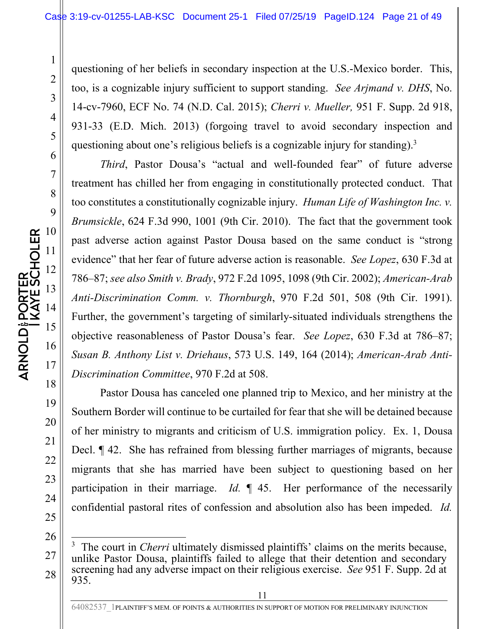questioning of her beliefs in secondary inspection at the U.S.-Mexico border. This, too, is a cognizable injury sufficient to support standing. *See Arjmand v. DHS*, No. 14-cv-7960, ECF No. 74 (N.D. Cal. 2015); *Cherri v. Mueller,* 951 F. Supp. 2d 918, 931-33 (E.D. Mich. 2013) (forgoing travel to avoid secondary inspection and questioning about one's religious beliefs is a cognizable injury for standing).<sup>3</sup>

*Third*, Pastor Dousa's "actual and well-founded fear" of future adverse treatment has chilled her from engaging in constitutionally protected conduct. That too constitutes a constitutionally cognizable injury. *Human Life of Washington Inc. v. Brumsickle*, 624 F.3d 990, 1001 (9th Cir. 2010). The fact that the government took past adverse action against Pastor Dousa based on the same conduct is "strong evidence" that her fear of future adverse action is reasonable. *See Lopez*, 630 F.3d at 786–87; *see also Smith v. Brady*, 972 F.2d 1095, 1098 (9th Cir. 2002); *American-Arab Anti-Discrimination Comm. v. Thornburgh*, 970 F.2d 501, 508 (9th Cir. 1991). Further, the government's targeting of similarly-situated individuals strengthens the objective reasonableness of Pastor Dousa's fear. *See Lopez*, 630 F.3d at 786–87; *Susan B. Anthony List v. Driehaus*, 573 U.S. 149, 164 (2014); *American-Arab Anti-Discrimination Committee*, 970 F.2d at 508.

Pastor Dousa has canceled one planned trip to Mexico, and her ministry at the Southern Border will continue to be curtailed for fear that she will be detained because of her ministry to migrants and criticism of U.S. immigration policy. Ex. 1, Dousa Decl. ¶ 42. She has refrained from blessing further marriages of migrants, because migrants that she has married have been subject to questioning based on her participation in their marriage. *Id.* ¶ 45. Her performance of the necessarily confidential pastoral rites of confession and absolution also has been impeded. *Id.*

<sup>3</sup> The court in *Cherri* ultimately dismissed plaintiffs' claims on the merits because, unlike Pastor Dousa, plaintiffs failed to allege that their detention and secondary screening had any adverse impact on their religious exercise. *See* 951 F. Supp. 2d at 935.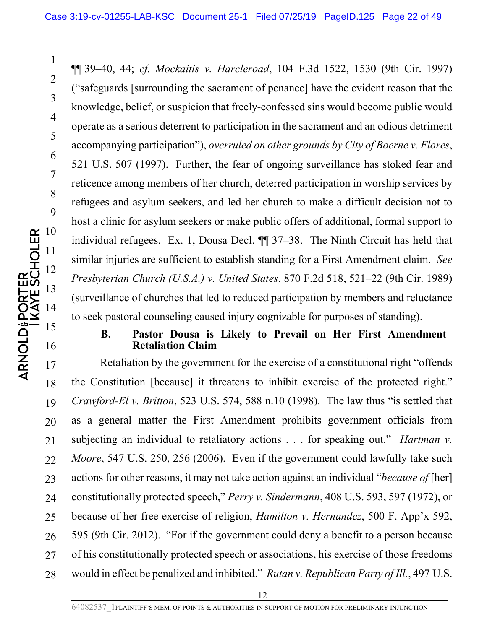¶¶ 39–40, 44; *cf. Mockaitis v. Harcleroad*, 104 F.3d 1522, 1530 (9th Cir. 1997) ("safeguards [surrounding the sacrament of penance] have the evident reason that the knowledge, belief, or suspicion that freely-confessed sins would become public would operate as a serious deterrent to participation in the sacrament and an odious detriment accompanying participation"), *overruled on other grounds by City of Boerne v. Flores*, 521 U.S. 507 (1997). Further, the fear of ongoing surveillance has stoked fear and reticence among members of her church, deterred participation in worship services by refugees and asylum-seekers, and led her church to make a difficult decision not to host a clinic for asylum seekers or make public offers of additional, formal support to individual refugees. Ex. 1, Dousa Decl. ¶¶ 37–38. The Ninth Circuit has held that similar injuries are sufficient to establish standing for a First Amendment claim. *See Presbyterian Church (U.S.A.) v. United States*, 870 F.2d 518, 521–22 (9th Cir. 1989) (surveillance of churches that led to reduced participation by members and reluctance to seek pastoral counseling caused injury cognizable for purposes of standing).

#### **B. Pastor Dousa is Likely to Prevail on Her First Amendment Retaliation Claim**

Retaliation by the government for the exercise of a constitutional right "offends the Constitution [because] it threatens to inhibit exercise of the protected right." *Crawford-El v. Britton*, 523 U.S. 574, 588 n.10 (1998). The law thus "is settled that as a general matter the First Amendment prohibits government officials from subjecting an individual to retaliatory actions . . . for speaking out." *Hartman v. Moore*, 547 U.S. 250, 256 (2006). Even if the government could lawfully take such actions for other reasons, it may not take action against an individual "*because of* [her] constitutionally protected speech," *Perry v. Sindermann*, 408 U.S. 593, 597 (1972), or because of her free exercise of religion, *Hamilton v. Hernandez*, 500 F. App'x 592, 595 (9th Cir. 2012). "For if the government could deny a benefit to a person because of his constitutionally protected speech or associations, his exercise of those freedoms would in effect be penalized and inhibited." *Rutan v. Republican Party of Ill.*, 497 U.S.

25

26

27

28

1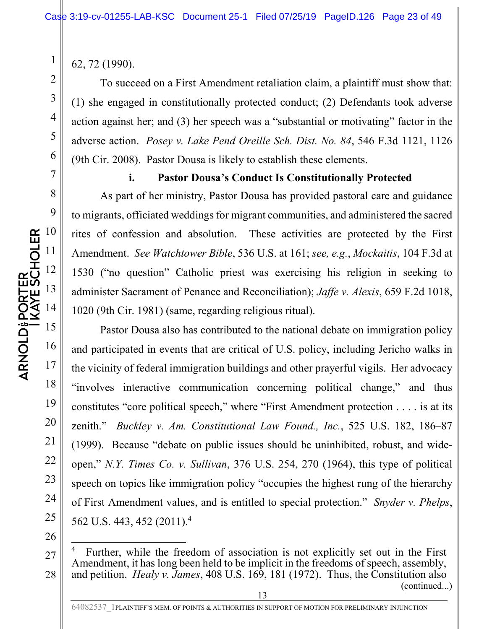62, 72 (1990).

1

2

To succeed on a First Amendment retaliation claim, a plaintiff must show that: (1) she engaged in constitutionally protected conduct; (2) Defendants took adverse action against her; and (3) her speech was a "substantial or motivating" factor in the adverse action. *Posey v. Lake Pend Oreille Sch. Dist. No. 84*, 546 F.3d 1121, 1126 (9th Cir. 2008). Pastor Dousa is likely to establish these elements.

**i. Pastor Dousa's Conduct Is Constitutionally Protected** 

As part of her ministry, Pastor Dousa has provided pastoral care and guidance to migrants, officiated weddings for migrant communities, and administered the sacred rites of confession and absolution. These activities are protected by the First Amendment. *See Watchtower Bible*, 536 U.S. at 161; *see, e.g.*, *Mockaitis*, 104 F.3d at 1530 ("no question" Catholic priest was exercising his religion in seeking to administer Sacrament of Penance and Reconciliation); *Jaffe v. Alexis*, 659 F.2d 1018, 1020 (9th Cir. 1981) (same, regarding religious ritual).

Pastor Dousa also has contributed to the national debate on immigration policy and participated in events that are critical of U.S. policy, including Jericho walks in the vicinity of federal immigration buildings and other prayerful vigils. Her advocacy "involves interactive communication concerning political change," and thus constitutes "core political speech," where "First Amendment protection . . . . is at its zenith." *Buckley v. Am. Constitutional Law Found., Inc.*, 525 U.S. 182, 186–87 (1999). Because "debate on public issues should be uninhibited, robust, and wideopen," *N.Y. Times Co. v. Sullivan*, 376 U.S. 254, 270 (1964), this type of political speech on topics like immigration policy "occupies the highest rung of the hierarchy of First Amendment values, and is entitled to special protection." *Snyder v. Phelps*, 562 U.S. 443, 452 (2011).<sup>4</sup>

26

27

28

19

20

21

22

23

24

<sup>4</sup> Further, while the freedom of association is not explicitly set out in the First Amendment, it has long been held to be implicit in the freedoms of speech, assembly, and petition. *Healy v. James*, 408 U.S. 169, 181 (1972). Thus, the Constitution also (continued...)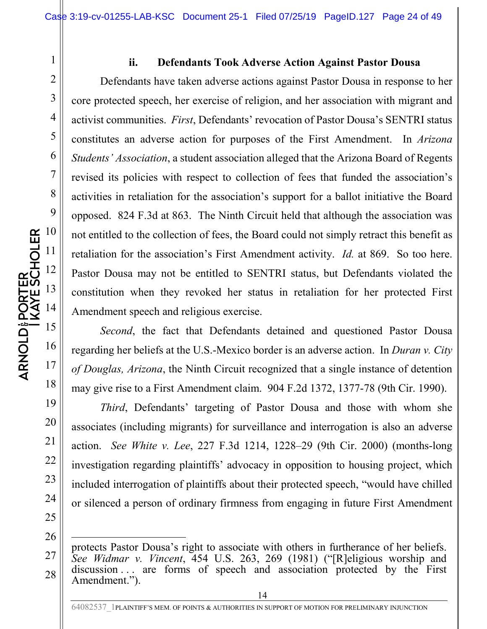## 3 4 5 6 7 8 9 **ARNOLD PORTER<br>I KAYE SCHOLER** 10 11 12 13 14 15 16 17 18

19

20

21

22

23

24

25

26

1

2

#### **ii. Defendants Took Adverse Action Against Pastor Dousa**

Defendants have taken adverse actions against Pastor Dousa in response to her core protected speech, her exercise of religion, and her association with migrant and activist communities. *First*, Defendants' revocation of Pastor Dousa's SENTRI status constitutes an adverse action for purposes of the First Amendment. In *Arizona Students' Association*, a student association alleged that the Arizona Board of Regents revised its policies with respect to collection of fees that funded the association's activities in retaliation for the association's support for a ballot initiative the Board opposed. 824 F.3d at 863. The Ninth Circuit held that although the association was not entitled to the collection of fees, the Board could not simply retract this benefit as retaliation for the association's First Amendment activity. *Id.* at 869. So too here. Pastor Dousa may not be entitled to SENTRI status, but Defendants violated the constitution when they revoked her status in retaliation for her protected First Amendment speech and religious exercise.

*Second*, the fact that Defendants detained and questioned Pastor Dousa regarding her beliefs at the U.S.-Mexico border is an adverse action. In *Duran v. City of Douglas, Arizona*, the Ninth Circuit recognized that a single instance of detention may give rise to a First Amendment claim. 904 F.2d 1372, 1377-78 (9th Cir. 1990).

*Third*, Defendants' targeting of Pastor Dousa and those with whom she associates (including migrants) for surveillance and interrogation is also an adverse action. *See White v. Lee*, 227 F.3d 1214, 1228–29 (9th Cir. 2000) (months-long investigation regarding plaintiffs' advocacy in opposition to housing project, which included interrogation of plaintiffs about their protected speech, "would have chilled or silenced a person of ordinary firmness from engaging in future First Amendment

<sup>27</sup>  28 protects Pastor Dousa's right to associate with others in furtherance of her beliefs. *See Widmar v. Vincent*, 454 U.S. 263, 269 (1981) ("[R]eligious worship and discussion ... are forms of speech and association protected by the First Amendment.").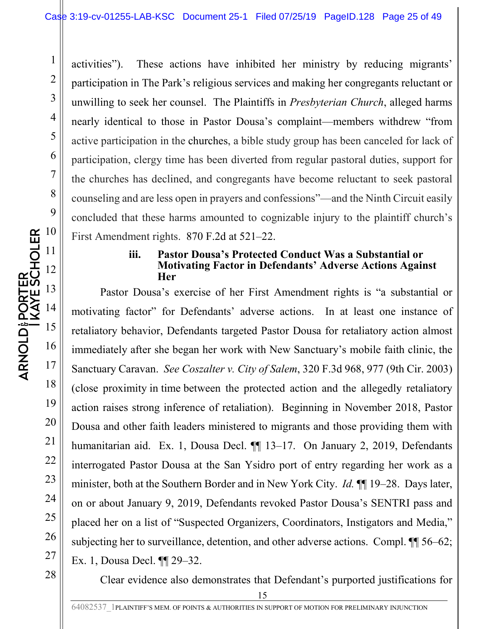activities"). These actions have inhibited her ministry by reducing migrants' participation in The Park's religious services and making her congregants reluctant or unwilling to seek her counsel. The Plaintiffs in *Presbyterian Church*, alleged harms nearly identical to those in Pastor Dousa's complaint—members withdrew "from active participation in the churches, a bible study group has been canceled for lack of participation, clergy time has been diverted from regular pastoral duties, support for the churches has declined, and congregants have become reluctant to seek pastoral counseling and are less open in prayers and confessions"—and the Ninth Circuit easily concluded that these harms amounted to cognizable injury to the plaintiff church's First Amendment rights. 870 F.2d at 521–22.

#### **iii. Pastor Dousa's Protected Conduct Was a Substantial or Motivating Factor in Defendants' Adverse Actions Against Her**

Pastor Dousa's exercise of her First Amendment rights is "a substantial or motivating factor" for Defendants' adverse actions. In at least one instance of retaliatory behavior, Defendants targeted Pastor Dousa for retaliatory action almost immediately after she began her work with New Sanctuary's mobile faith clinic, the Sanctuary Caravan. *See Coszalter v. City of Salem*, 320 F.3d 968, 977 (9th Cir. 2003) (close proximity in time between the protected action and the allegedly retaliatory action raises strong inference of retaliation). Beginning in November 2018, Pastor Dousa and other faith leaders ministered to migrants and those providing them with humanitarian aid. Ex. 1, Dousa Decl. <sup>[1]</sup> 13-17. On January 2, 2019, Defendants interrogated Pastor Dousa at the San Ysidro port of entry regarding her work as a minister, both at the Southern Border and in New York City. *Id.* ¶¶ 19–28. Days later, on or about January 9, 2019, Defendants revoked Pastor Dousa's SENTRI pass and placed her on a list of "Suspected Organizers, Coordinators, Instigators and Media," subjecting her to surveillance, detention, and other adverse actions. Compl. ¶¶ 56–62; Ex. 1, Dousa Decl. ¶¶ 29–32.

Clear evidence also demonstrates that Defendant's purported justifications for

1

2

3

4

5

6

7

8

9

19

20

21

22

23

24

25

26

27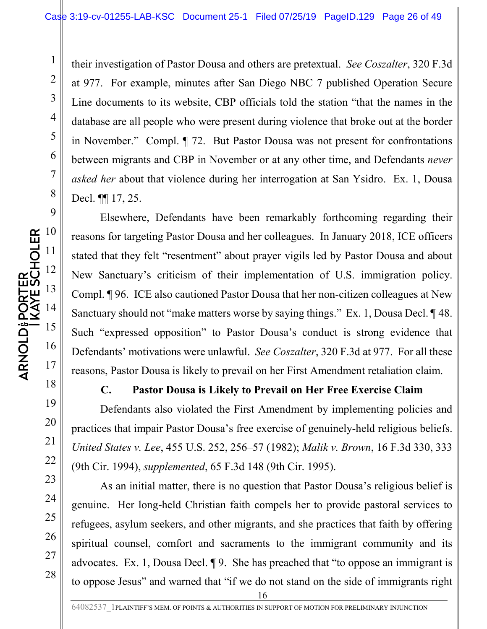their investigation of Pastor Dousa and others are pretextual. *See Coszalter*, 320 F.3d at 977. For example, minutes after San Diego NBC 7 published Operation Secure Line documents to its website, CBP officials told the station "that the names in the database are all people who were present during violence that broke out at the border in November." Compl. ¶ 72. But Pastor Dousa was not present for confrontations between migrants and CBP in November or at any other time, and Defendants *never asked her* about that violence during her interrogation at San Ysidro. Ex. 1, Dousa Decl. ¶¶ 17, 25.

Elsewhere, Defendants have been remarkably forthcoming regarding their reasons for targeting Pastor Dousa and her colleagues. In January 2018, ICE officers stated that they felt "resentment" about prayer vigils led by Pastor Dousa and about New Sanctuary's criticism of their implementation of U.S. immigration policy. Compl. ¶ 96. ICE also cautioned Pastor Dousa that her non-citizen colleagues at New Sanctuary should not "make matters worse by saying things." Ex. 1, Dousa Decl. ¶ 48. Such "expressed opposition" to Pastor Dousa's conduct is strong evidence that Defendants' motivations were unlawful. *See Coszalter*, 320 F.3d at 977. For all these reasons, Pastor Dousa is likely to prevail on her First Amendment retaliation claim.

#### **C. Pastor Dousa is Likely to Prevail on Her Free Exercise Claim**

Defendants also violated the First Amendment by implementing policies and practices that impair Pastor Dousa's free exercise of genuinely-held religious beliefs. *United States v. Lee*, 455 U.S. 252, 256–57 (1982); *Malik v. Brown*, 16 F.3d 330, 333 (9th Cir. 1994), *supplemented*, 65 F.3d 148 (9th Cir. 1995).

As an initial matter, there is no question that Pastor Dousa's religious belief is genuine. Her long-held Christian faith compels her to provide pastoral services to refugees, asylum seekers, and other migrants, and she practices that faith by offering spiritual counsel, comfort and sacraments to the immigrant community and its advocates. Ex. 1, Dousa Decl. ¶ 9. She has preached that "to oppose an immigrant is to oppose Jesus" and warned that "if we do not stand on the side of immigrants right

27

28

1

2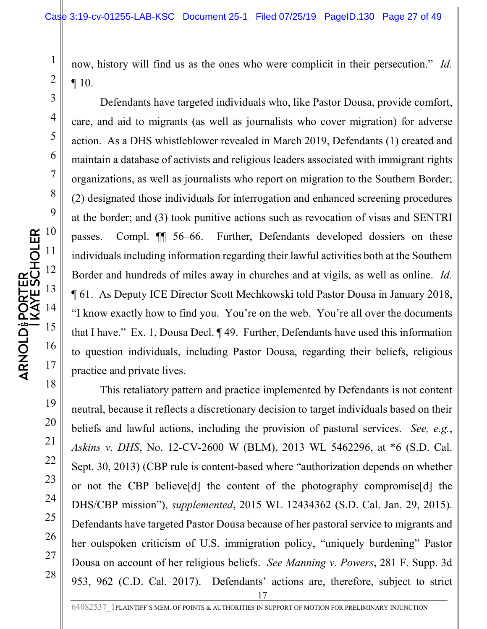now, history will find us as the ones who were complicit in their persecution." *Id.* ¶ 10.

Defendants have targeted individuals who, like Pastor Dousa, provide comfort, care, and aid to migrants (as well as journalists who cover migration) for adverse action. As a DHS whistleblower revealed in March 2019, Defendants (1) created and maintain a database of activists and religious leaders associated with immigrant rights organizations, as well as journalists who report on migration to the Southern Border; (2) designated those individuals for interrogation and enhanced screening procedures at the border; and (3) took punitive actions such as revocation of visas and SENTRI passes. Compl. ¶¶ 56–66. Further, Defendants developed dossiers on these individuals including information regarding their lawful activities both at the Southern Border and hundreds of miles away in churches and at vigils, as well as online. *Id.* ¶ 61. As Deputy ICE Director Scott Mechkowski told Pastor Dousa in January 2018, "I know exactly how to find you. You're on the web. You're all over the documents that I have." Ex. 1, Dousa Decl. ¶ 49. Further, Defendants have used this information to question individuals, including Pastor Dousa, regarding their beliefs, religious practice and private lives.

17 This retaliatory pattern and practice implemented by Defendants is not content neutral, because it reflects a discretionary decision to target individuals based on their beliefs and lawful actions, including the provision of pastoral services. *See, e.g.*, *Askins v. DHS*, No. 12-CV-2600 W (BLM), 2013 WL 5462296, at \*6 (S.D. Cal. Sept. 30, 2013) (CBP rule is content-based where "authorization depends on whether or not the CBP believe[d] the content of the photography compromise[d] the DHS/CBP mission"), *supplemented*, 2015 WL 12434362 (S.D. Cal. Jan. 29, 2015). Defendants have targeted Pastor Dousa because of her pastoral service to migrants and her outspoken criticism of U.S. immigration policy, "uniquely burdening" Pastor Dousa on account of her religious beliefs. *See Manning v. Powers*, 281 F. Supp. 3d 953, 962 (C.D. Cal. 2017). Defendants' actions are, therefore, subject to strict

26

27

28

1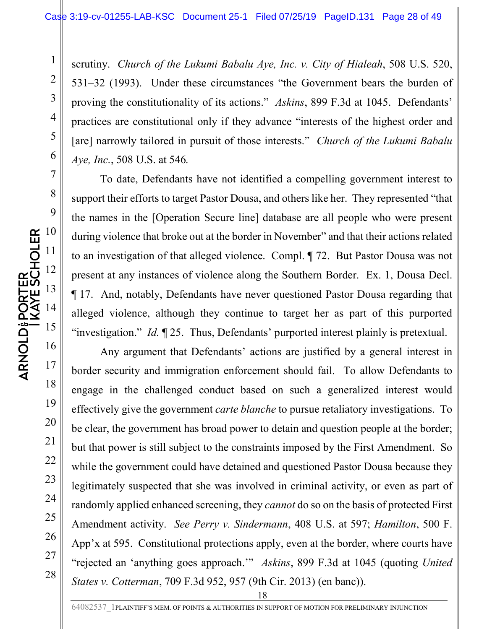scrutiny. *Church of the Lukumi Babalu Aye, Inc. v. City of Hialeah*, 508 U.S. 520, 531–32 (1993). Under these circumstances "the Government bears the burden of proving the constitutionality of its actions." *Askins*, 899 F.3d at 1045. Defendants' practices are constitutional only if they advance "interests of the highest order and [are] narrowly tailored in pursuit of those interests." *Church of the Lukumi Babalu Aye, Inc.*, 508 U.S. at 546*.*

To date, Defendants have not identified a compelling government interest to support their efforts to target Pastor Dousa, and others like her. They represented "that the names in the [Operation Secure line] database are all people who were present during violence that broke out at the border in November" and that their actions related to an investigation of that alleged violence. Compl. ¶ 72. But Pastor Dousa was not present at any instances of violence along the Southern Border. Ex. 1, Dousa Decl. ¶ 17. And, notably, Defendants have never questioned Pastor Dousa regarding that alleged violence, although they continue to target her as part of this purported "investigation." *Id.* ¶ 25. Thus, Defendants' purported interest plainly is pretextual.

Any argument that Defendants' actions are justified by a general interest in border security and immigration enforcement should fail. To allow Defendants to engage in the challenged conduct based on such a generalized interest would effectively give the government *carte blanche* to pursue retaliatory investigations. To be clear, the government has broad power to detain and question people at the border; but that power is still subject to the constraints imposed by the First Amendment. So while the government could have detained and questioned Pastor Dousa because they legitimately suspected that she was involved in criminal activity, or even as part of randomly applied enhanced screening, they *cannot* do so on the basis of protected First Amendment activity. *See Perry v. Sindermann*, 408 U.S. at 597; *Hamilton*, 500 F. App'x at 595. Constitutional protections apply, even at the border, where courts have "rejected an 'anything goes approach.'" *Askins*, 899 F.3d at 1045 (quoting *United States v. Cotterman*, 709 F.3d 952, 957 (9th Cir. 2013) (en banc)).

28

1

2

3

4

5

6

7

8

9

10

11

12

13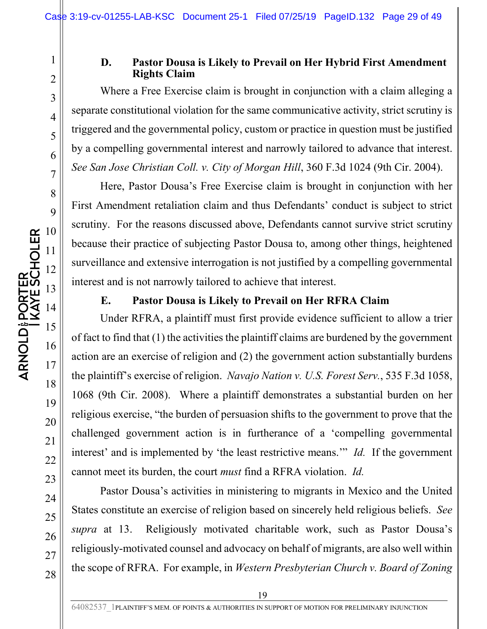#### **D. Pastor Dousa is Likely to Prevail on Her Hybrid First Amendment Rights Claim**

Where a Free Exercise claim is brought in conjunction with a claim alleging a separate constitutional violation for the same communicative activity, strict scrutiny is triggered and the governmental policy, custom or practice in question must be justified by a compelling governmental interest and narrowly tailored to advance that interest. *See San Jose Christian Coll. v. City of Morgan Hill*, 360 F.3d 1024 (9th Cir. 2004).

Here, Pastor Dousa's Free Exercise claim is brought in conjunction with her First Amendment retaliation claim and thus Defendants' conduct is subject to strict scrutiny. For the reasons discussed above, Defendants cannot survive strict scrutiny because their practice of subjecting Pastor Dousa to, among other things, heightened surveillance and extensive interrogation is not justified by a compelling governmental interest and is not narrowly tailored to achieve that interest.

#### **E. Pastor Dousa is Likely to Prevail on Her RFRA Claim**

Under RFRA, a plaintiff must first provide evidence sufficient to allow a trier of fact to find that (1) the activities the plaintiff claims are burdened by the government action are an exercise of religion and (2) the government action substantially burdens the plaintiff's exercise of religion. *Navajo Nation v. U.S. Forest Serv.*, 535 F.3d 1058, 1068 (9th Cir. 2008). Where a plaintiff demonstrates a substantial burden on her religious exercise, "the burden of persuasion shifts to the government to prove that the challenged government action is in furtherance of a 'compelling governmental interest' and is implemented by 'the least restrictive means.'" *Id.* If the government cannot meet its burden, the court *must* find a RFRA violation. *Id.*

Pastor Dousa's activities in ministering to migrants in Mexico and the United States constitute an exercise of religion based on sincerely held religious beliefs. *See supra* at 13. Religiously motivated charitable work, such as Pastor Dousa's religiously-motivated counsel and advocacy on behalf of migrants, are also well within the scope of RFRA. For example, in *Western Presbyterian Church v. Board of Zoning* 

25

26

27

28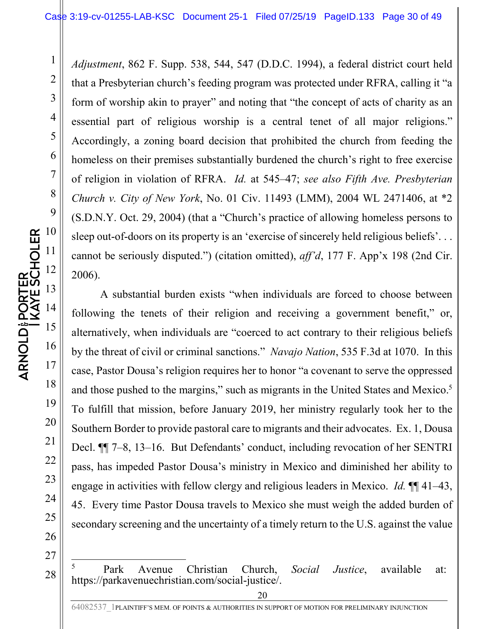*Adjustment*, 862 F. Supp. 538, 544, 547 (D.D.C. 1994), a federal district court held that a Presbyterian church's feeding program was protected under RFRA, calling it "a form of worship akin to prayer" and noting that "the concept of acts of charity as an essential part of religious worship is a central tenet of all major religions." Accordingly, a zoning board decision that prohibited the church from feeding the homeless on their premises substantially burdened the church's right to free exercise of religion in violation of RFRA. *Id.* at 545–47; *see also Fifth Ave. Presbyterian Church v. City of New York*, No. 01 Civ. 11493 (LMM), 2004 WL 2471406, at \*2 (S.D.N.Y. Oct. 29, 2004) (that a "Church's practice of allowing homeless persons to sleep out-of-doors on its property is an 'exercise of sincerely held religious beliefs'... cannot be seriously disputed.") (citation omitted), *aff'd*, 177 F. App'x 198 (2nd Cir. 2006).

A substantial burden exists "when individuals are forced to choose between following the tenets of their religion and receiving a government benefit," or, alternatively, when individuals are "coerced to act contrary to their religious beliefs by the threat of civil or criminal sanctions." *Navajo Nation*, 535 F.3d at 1070. In this case, Pastor Dousa's religion requires her to honor "a covenant to serve the oppressed and those pushed to the margins," such as migrants in the United States and Mexico.<sup>5</sup> To fulfill that mission, before January 2019, her ministry regularly took her to the Southern Border to provide pastoral care to migrants and their advocates. Ex. 1, Dousa Decl. ¶¶ 7–8, 13–16. But Defendants' conduct, including revocation of her SENTRI pass, has impeded Pastor Dousa's ministry in Mexico and diminished her ability to engage in activities with fellow clergy and religious leaders in Mexico. *Id.* ¶¶ 41–43, 45. Every time Pastor Dousa travels to Mexico she must weigh the added burden of secondary screening and the uncertainty of a timely return to the U.S. against the value

27

28

1

2

3

4

5

6

7

8

5 Park Avenue Christian Church, *Social Justice*, available at: https://parkavenuechristian.com/social-justice/.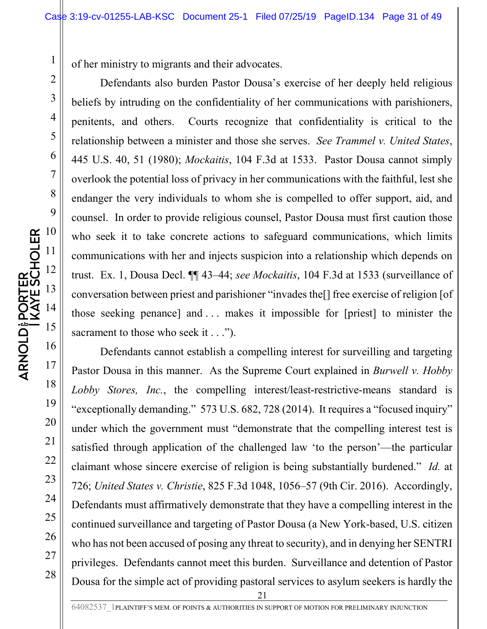of her ministry to migrants and their advocates.

Defendants also burden Pastor Dousa's exercise of her deeply held religious beliefs by intruding on the confidentiality of her communications with parishioners, penitents, and others. Courts recognize that confidentiality is critical to the relationship between a minister and those she serves. *See Trammel v. United States*, 445 U.S. 40, 51 (1980); *Mockaitis*, 104 F.3d at 1533. Pastor Dousa cannot simply overlook the potential loss of privacy in her communications with the faithful, lest she endanger the very individuals to whom she is compelled to offer support, aid, and counsel. In order to provide religious counsel, Pastor Dousa must first caution those who seek it to take concrete actions to safeguard communications, which limits communications with her and injects suspicion into a relationship which depends on trust. Ex. 1, Dousa Decl. ¶¶ 43–44; *see Mockaitis*, 104 F.3d at 1533 (surveillance of conversation between priest and parishioner "invades the[] free exercise of religion [of those seeking penance] and . . . makes it impossible for [priest] to minister the sacrament to those who seek it . . .").

Defendants cannot establish a compelling interest for surveilling and targeting Pastor Dousa in this manner. As the Supreme Court explained in *Burwell v. Hobby Lobby Stores, Inc.*, the compelling interest/least-restrictive-means standard is "exceptionally demanding." 573 U.S. 682, 728 (2014). It requires a "focused inquiry" under which the government must "demonstrate that the compelling interest test is satisfied through application of the challenged law 'to the person'—the particular claimant whose sincere exercise of religion is being substantially burdened." *Id.* at 726; *United States v. Christie*, 825 F.3d 1048, 1056–57 (9th Cir. 2016). Accordingly, Defendants must affirmatively demonstrate that they have a compelling interest in the continued surveillance and targeting of Pastor Dousa (a New York-based, U.S. citizen who has not been accused of posing any threat to security), and in denying her SENTRI privileges. Defendants cannot meet this burden. Surveillance and detention of Pastor Dousa for the simple act of providing pastoral services to asylum seekers is hardly the

24

25

26

27

28

1

2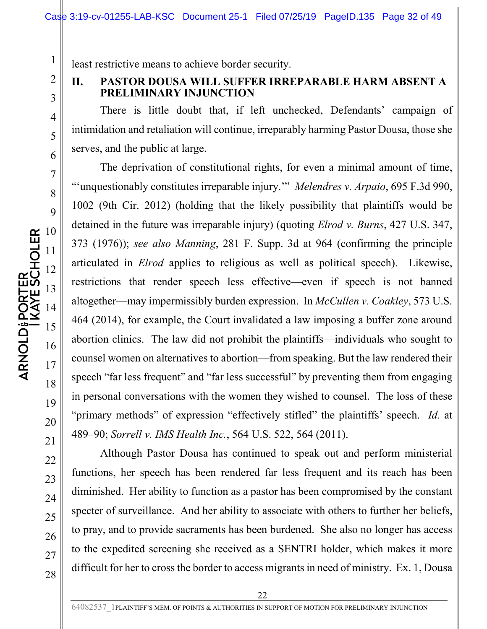least restrictive means to achieve border security.

#### **II. PASTOR DOUSA WILL SUFFER IRREPARABLE HARM ABSENT A PRELIMINARY INJUNCTION**

There is little doubt that, if left unchecked, Defendants' campaign of intimidation and retaliation will continue, irreparably harming Pastor Dousa, those she serves, and the public at large.

The deprivation of constitutional rights, for even a minimal amount of time, "'unquestionably constitutes irreparable injury.'" *Melendres v. Arpaio*, 695 F.3d 990, 1002 (9th Cir. 2012) (holding that the likely possibility that plaintiffs would be detained in the future was irreparable injury) (quoting *Elrod v. Burns*, 427 U.S. 347, 373 (1976)); *see also Manning*, 281 F. Supp. 3d at 964 (confirming the principle articulated in *Elrod* applies to religious as well as political speech). Likewise, restrictions that render speech less effective—even if speech is not banned altogether—may impermissibly burden expression. In *McCullen v. Coakley*, 573 U.S. 464 (2014), for example, the Court invalidated a law imposing a buffer zone around abortion clinics. The law did not prohibit the plaintiffs—individuals who sought to counsel women on alternatives to abortion—from speaking. But the law rendered their speech "far less frequent" and "far less successful" by preventing them from engaging in personal conversations with the women they wished to counsel. The loss of these "primary methods" of expression "effectively stifled" the plaintiffs' speech. *Id.* at 489–90; *Sorrell v. IMS Health Inc.*, 564 U.S. 522, 564 (2011).

Although Pastor Dousa has continued to speak out and perform ministerial functions, her speech has been rendered far less frequent and its reach has been diminished. Her ability to function as a pastor has been compromised by the constant specter of surveillance. And her ability to associate with others to further her beliefs, to pray, and to provide sacraments has been burdened. She also no longer has access to the expedited screening she received as a SENTRI holder, which makes it more difficult for her to cross the border to access migrants in need of ministry. Ex. 1, Dousa

21

22

23

24

25

26

27

28

1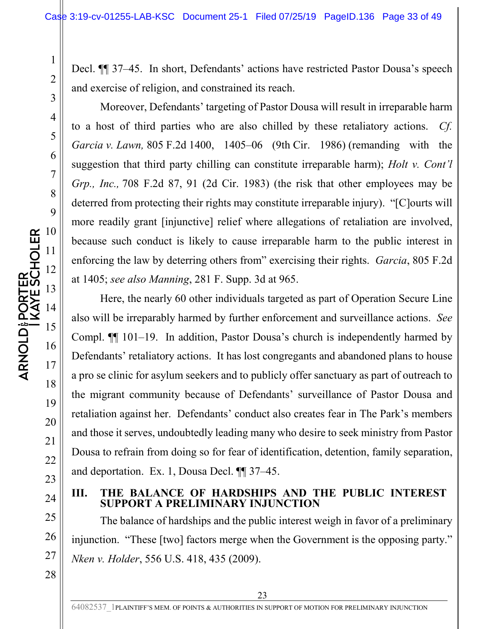Decl. ¶¶ 37–45. In short, Defendants' actions have restricted Pastor Dousa's speech and exercise of religion, and constrained its reach.

Moreover, Defendants' targeting of Pastor Dousa will result in irreparable harm to a host of third parties who are also chilled by these retaliatory actions. *Cf. Garcia v. Lawn,* 805 F.2d 1400, 1405–06 (9th Cir. 1986) (remanding with the suggestion that third party chilling can constitute irreparable harm); *Holt v. Cont'l Grp., Inc.,* 708 F.2d 87, 91 (2d Cir. 1983) (the risk that other employees may be deterred from protecting their rights may constitute irreparable injury). "[C]ourts will more readily grant [injunctive] relief where allegations of retaliation are involved, because such conduct is likely to cause irreparable harm to the public interest in enforcing the law by deterring others from" exercising their rights. *Garcia*, 805 F.2d at 1405; *see also Manning*, 281 F. Supp. 3d at 965.

Here, the nearly 60 other individuals targeted as part of Operation Secure Line also will be irreparably harmed by further enforcement and surveillance actions. *See* Compl. ¶¶ 101–19. In addition, Pastor Dousa's church is independently harmed by Defendants' retaliatory actions. It has lost congregants and abandoned plans to house a pro se clinic for asylum seekers and to publicly offer sanctuary as part of outreach to the migrant community because of Defendants' surveillance of Pastor Dousa and retaliation against her. Defendants' conduct also creates fear in The Park's members and those it serves, undoubtedly leading many who desire to seek ministry from Pastor Dousa to refrain from doing so for fear of identification, detention, family separation, and deportation. Ex. 1, Dousa Decl. ¶¶ 37–45.

**III. THE BALANCE OF HARDSHIPS AND THE PUBLIC INTEREST SUPPORT A PRELIMINARY INJUNCTION** 

The balance of hardships and the public interest weigh in favor of a preliminary injunction. "These [two] factors merge when the Government is the opposing party." *Nken v. Holder*, 556 U.S. 418, 435 (2009).

1

2

3

4

5

6

7

8

9

20

21

22

23

24

25

26

27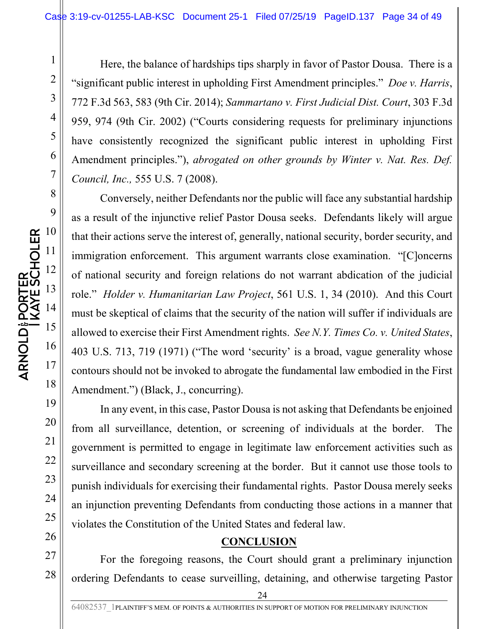Here, the balance of hardships tips sharply in favor of Pastor Dousa. There is a "significant public interest in upholding First Amendment principles." *Doe v. Harris*, 772 F.3d 563, 583 (9th Cir. 2014); *Sammartano v. First Judicial Dist. Court*, 303 F.3d 959, 974 (9th Cir. 2002) ("Courts considering requests for preliminary injunctions have consistently recognized the significant public interest in upholding First Amendment principles."), *abrogated on other grounds by Winter v. Nat. Res. Def. Council, Inc.,* 555 U.S. 7 (2008).

Conversely, neither Defendants nor the public will face any substantial hardship as a result of the injunctive relief Pastor Dousa seeks. Defendants likely will argue that their actions serve the interest of, generally, national security, border security, and immigration enforcement. This argument warrants close examination. "[C]oncerns of national security and foreign relations do not warrant abdication of the judicial role." *Holder v. Humanitarian Law Project*, 561 U.S. 1, 34 (2010). And this Court must be skeptical of claims that the security of the nation will suffer if individuals are allowed to exercise their First Amendment rights. *See N.Y. Times Co. v. United States*, 403 U.S. 713, 719 (1971) ("The word 'security' is a broad, vague generality whose contours should not be invoked to abrogate the fundamental law embodied in the First Amendment.") (Black, J., concurring).

In any event, in this case, Pastor Dousa is not asking that Defendants be enjoined from all surveillance, detention, or screening of individuals at the border. The government is permitted to engage in legitimate law enforcement activities such as surveillance and secondary screening at the border. But it cannot use those tools to punish individuals for exercising their fundamental rights. Pastor Dousa merely seeks an injunction preventing Defendants from conducting those actions in a manner that violates the Constitution of the United States and federal law.

#### **CONCLUSION**

For the foregoing reasons, the Court should grant a preliminary injunction ordering Defendants to cease surveilling, detaining, and otherwise targeting Pastor

1

2

3

4

5

6

7

8

9

19

20

21

22

23

24

25

26

27